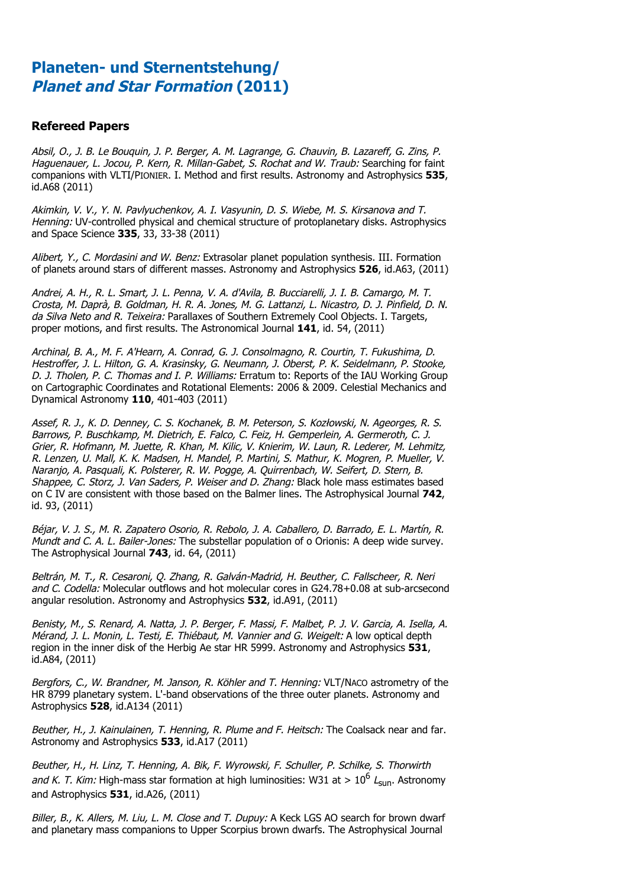#### **Refereed Papers**

Absil, O., J. B. Le Bouquin, J. P. Berger, A. M. Lagrange, G. Chauvin, B. Lazareff, G. Zins, P. Haguenauer, L. Jocou, P. Kern, R. Millan-Gabet, S. Rochat and W. Traub: Searching for faint companions with VLTI/PIONIER. I. Method and first results. Astronomy and Astrophysics **535**, id.A68 (2011)

Akimkin, V. V., Y. N. Pavlyuchenkov, A. I. Vasyunin, D. S. Wiebe, M. S. Kirsanova and T. Henning: UV-controlled physical and chemical structure of protoplanetary disks. Astrophysics and Space Science **335**, 33, 33-38 (2011)

Alibert, Y., C. Mordasini and W. Benz: Extrasolar planet population synthesis. III. Formation of planets around stars of different masses. Astronomy and Astrophysics **526**, id.A63, (2011)

Andrei, A. H., R. L. Smart, J. L. Penna, V. A. d'Avila, B. Bucciarelli, J. I. B. Camargo, M. T. Crosta, M. Daprà, B. Goldman, H. R. A. Jones, M. G. Lattanzi, L. Nicastro, D. J. Pinfield, D. N. da Silva Neto and R. Teixeira: Parallaxes of Southern Extremely Cool Objects. I. Targets, proper motions, and first results. The Astronomical Journal **141**, id. 54, (2011)

Archinal, B. A., M. F. A'Hearn, A. Conrad, G. J. Consolmagno, R. Courtin, T. Fukushima, D. Hestroffer, J. L. Hilton, G. A. Krasinsky, G. Neumann, J. Oberst, P. K. Seidelmann, P. Stooke, D. J. Tholen, P. C. Thomas and I. P. Williams: Erratum to: Reports of the IAU Working Group on Cartographic Coordinates and Rotational Elements: 2006 & 2009. Celestial Mechanics and Dynamical Astronomy **110**, 401-403 (2011)

Assef, R. J., K. D. Denney, C. S. Kochanek, B. M. Peterson, S. Koz!owski, N. Ageorges, R. S. Barrows, P. Buschkamp, M. Dietrich, E. Falco, C. Feiz, H. Gemperlein, A. Germeroth, C. J. Grier, R. Hofmann, M. Juette, R. Khan, M. Kilic, V. Knierim, W. Laun, R. Lederer, M. Lehmitz, R. Lenzen, U. Mall, K. K. Madsen, H. Mandel, P. Martini, S. Mathur, K. Mogren, P. Mueller, V. Naranjo, A. Pasquali, K. Polsterer, R. W. Pogge, A. Quirrenbach, W. Seifert, D. Stern, B. Shappee, C. Storz, J. Van Saders, P. Weiser and D. Zhang: Black hole mass estimates based on C IV are consistent with those based on the Balmer lines. The Astrophysical Journal **742**, id. 93, (2011)

Béjar, V. J. S., M. R. Zapatero Osorio, R. Rebolo, J. A. Caballero, D. Barrado, E. L. Martín, R. Mundt and C. A. L. Bailer-Jones: The substellar population of o Orionis: A deep wide survey. The Astrophysical Journal **743**, id. 64, (2011)

Beltrán, M. T., R. Cesaroni, Q. Zhang, R. Galván-Madrid, H. Beuther, C. Fallscheer, R. Neri and C. Codella: Molecular outflows and hot molecular cores in G24.78+0.08 at sub-arcsecond angular resolution. Astronomy and Astrophysics **532**, id.A91, (2011)

Benisty, M., S. Renard, A. Natta, J. P. Berger, F. Massi, F. Malbet, P. J. V. Garcia, A. Isella, A. Mérand, J. L. Monin, L. Testi, E. Thiébaut, M. Vannier and G. Weigelt: A low optical depth region in the inner disk of the Herbig Ae star HR 5999. Astronomy and Astrophysics **531**, id.A84, (2011)

Bergfors, C., W. Brandner, M. Janson, R. Köhler and T. Henning: VLT/NACO astrometry of the HR 8799 planetary system. L'-band observations of the three outer planets. Astronomy and Astrophysics **528**, id.A134 (2011)

Beuther, H., J. Kainulainen, T. Henning, R. Plume and F. Heitsch: The Coalsack near and far. Astronomy and Astrophysics **533**, id.A17 (2011)

Beuther, H., H. Linz, T. Henning, A. Bik, F. Wyrowski, F. Schuller, P. Schilke, S. Thorwirth and K. T. Kim: High-mass star formation at high luminosities: W31 at  $> 10^6$  L<sub>sun</sub>. Astronomy and Astrophysics **531**, id.A26, (2011)

Biller, B., K. Allers, M. Liu, L. M. Close and T. Dupuy: A Keck LGS AO search for brown dwarf and planetary mass companions to Upper Scorpius brown dwarfs. The Astrophysical Journal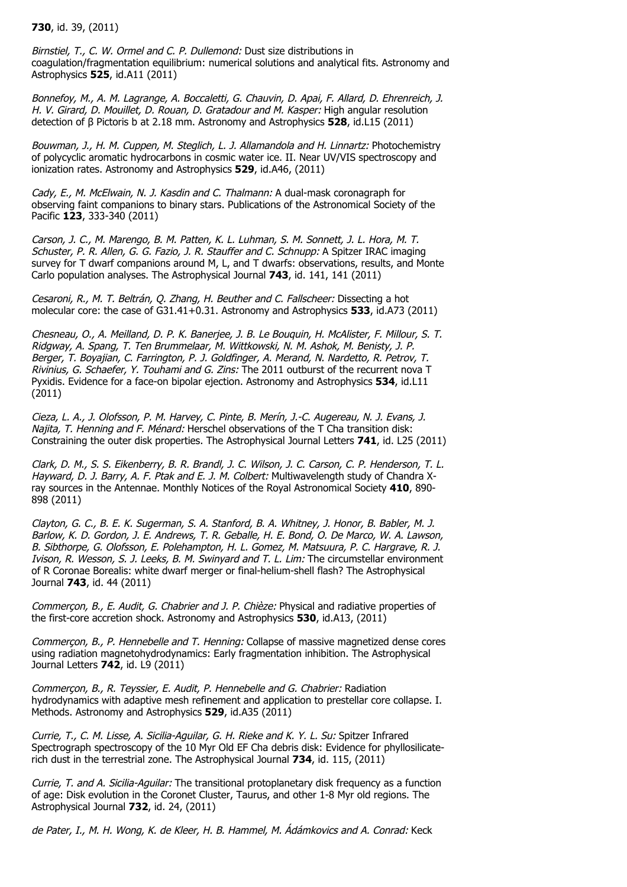**730**, id. 39, (2011)

Birnstiel, T., C. W. Ormel and C. P. Dullemond: Dust size distributions in coagulation/fragmentation equilibrium: numerical solutions and analytical fits. Astronomy and Astrophysics **525**, id.A11 (2011)

Bonnefoy, M., A. M. Lagrange, A. Boccaletti, G. Chauvin, D. Apai, F. Allard, D. Ehrenreich, J. H. V. Girard, D. Mouillet, D. Rouan, D. Gratadour and M. Kasper: High angular resolution detection of  $\beta$  Pictoris b at 2.18 mm. Astronomy and Astrophysics **528**, id.L15 (2011)

Bouwman, J., H. M. Cuppen, M. Steglich, L. J. Allamandola and H. Linnartz: Photochemistry of polycyclic aromatic hydrocarbons in cosmic water ice. II. Near UV/VIS spectroscopy and ionization rates. Astronomy and Astrophysics **529**, id.A46, (2011)

Cady, E., M. McElwain, N. J. Kasdin and C. Thalmann: A dual-mask coronagraph for observing faint companions to binary stars. Publications of the Astronomical Society of the Pacific **123**, 333-340 (2011)

Carson, J. C., M. Marengo, B. M. Patten, K. L. Luhman, S. M. Sonnett, J. L. Hora, M. T. Schuster, P. R. Allen, G. G. Fazio, J. R. Stauffer and C. Schnupp: A Spitzer IRAC imaging survey for T dwarf companions around M, L, and T dwarfs: observations, results, and Monte Carlo population analyses. The Astrophysical Journal **743**, id. 141, 141 (2011)

Cesaroni, R., M. T. Beltrán, Q. Zhang, H. Beuther and C. Fallscheer: Dissecting a hot molecular core: the case of G31.41+0.31. Astronomy and Astrophysics **533**, id.A73 (2011)

Chesneau, O., A. Meilland, D. P. K. Banerjee, J. B. Le Bouquin, H. McAlister, F. Millour, S. T. Ridgway, A. Spang, T. Ten Brummelaar, M. Wittkowski, N. M. Ashok, M. Benisty, J. P. Berger, T. Boyajian, C. Farrington, P. J. Goldfinger, A. Merand, N. Nardetto, R. Petrov, T. Rivinius, G. Schaefer, Y. Touhami and G. Zins: The 2011 outburst of the recurrent nova T Pyxidis. Evidence for a face-on bipolar ejection. Astronomy and Astrophysics **534**, id.L11 (2011)

Cieza, L. A., J. Olofsson, P. M. Harvey, C. Pinte, B. Merín, J.-C. Augereau, N. J. Evans, J. Najita, T. Henning and F. Ménard: Herschel observations of the T Cha transition disk: Constraining the outer disk properties. The Astrophysical Journal Letters **741**, id. L25 (2011)

Clark, D. M., S. S. Eikenberry, B. R. Brandl, J. C. Wilson, J. C. Carson, C. P. Henderson, T. L. Hayward, D. J. Barry, A. F. Ptak and E. J. M. Colbert: Multiwavelength study of Chandra Xray sources in the Antennae. Monthly Notices of the Royal Astronomical Society **410**, 890- 898 (2011)

Clayton, G. C., B. E. K. Sugerman, S. A. Stanford, B. A. Whitney, J. Honor, B. Babler, M. J. Barlow, K. D. Gordon, J. E. Andrews, T. R. Geballe, H. E. Bond, O. De Marco, W. A. Lawson, B. Sibthorpe, G. Olofsson, E. Polehampton, H. L. Gomez, M. Matsuura, P. C. Hargrave, R. J. Ivison, R. Wesson, S. J. Leeks, B. M. Swinyard and T. L. Lim: The circumstellar environment of R Coronae Borealis: white dwarf merger or final-helium-shell flash? The Astrophysical Journal **743**, id. 44 (2011)

Commerçon, B., E. Audit, G. Chabrier and J. P. Chièze: Physical and radiative properties of the first-core accretion shock. Astronomy and Astrophysics **530**, id.A13, (2011)

Commerçon, B., P. Hennebelle and T. Henning: Collapse of massive magnetized dense cores using radiation magnetohydrodynamics: Early fragmentation inhibition. The Astrophysical Journal Letters **742**, id. L9 (2011)

Commerçon, B., R. Teyssier, E. Audit, P. Hennebelle and G. Chabrier: Radiation hydrodynamics with adaptive mesh refinement and application to prestellar core collapse. I. Methods. Astronomy and Astrophysics **529**, id.A35 (2011)

Currie, T., C. M. Lisse, A. Sicilia-Aguilar, G. H. Rieke and K. Y. L. Su: Spitzer Infrared Spectrograph spectroscopy of the 10 Myr Old EF Cha debris disk: Evidence for phyllosilicaterich dust in the terrestrial zone. The Astrophysical Journal **734**, id. 115, (2011)

Currie, T. and A. Sicilia-Aguilar: The transitional protoplanetary disk frequency as a function of age: Disk evolution in the Coronet Cluster, Taurus, and other 1-8 Myr old regions. The Astrophysical Journal **732**, id. 24, (2011)

de Pater, I., M. H. Wong, K. de Kleer, H. B. Hammel, M. Ádámkovics and A. Conrad: Keck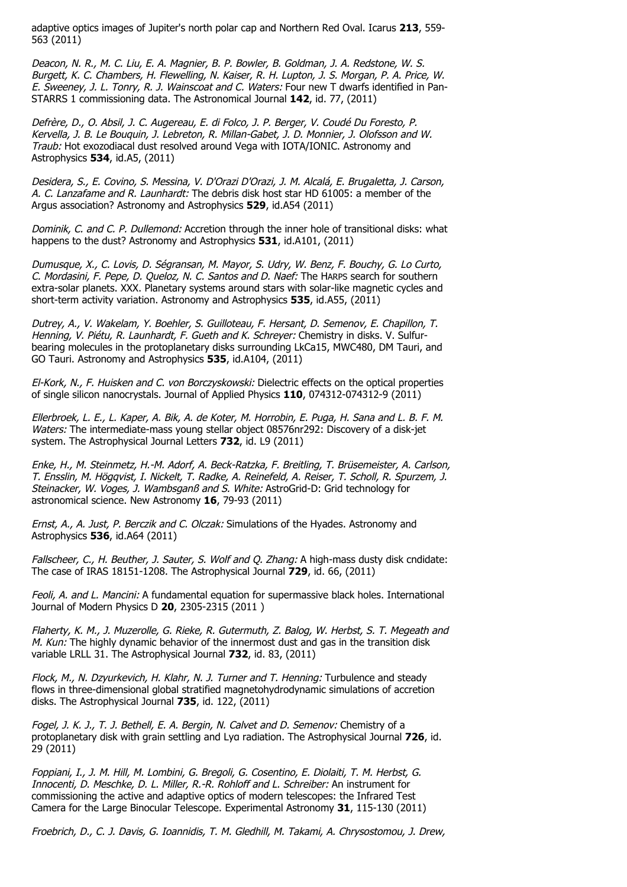adaptive optics images of Jupiter's north polar cap and Northern Red Oval. Icarus **213**, 559- 563 (2011)

Deacon, N. R., M. C. Liu, E. A. Magnier, B. P. Bowler, B. Goldman, J. A. Redstone, W. S. Burgett, K. C. Chambers, H. Flewelling, N. Kaiser, R. H. Lupton, J. S. Morgan, P. A. Price, W. E. Sweeney, J. L. Tonry, R. J. Wainscoat and C. Waters: Four new T dwarfs identified in Pan-STARRS 1 commissioning data. The Astronomical Journal **142**, id. 77, (2011)

Defrère, D., O. Absil, J. C. Augereau, E. di Folco, J. P. Berger, V. Coudé Du Foresto, P. Kervella, J. B. Le Bouquin, J. Lebreton, R. Millan-Gabet, J. D. Monnier, J. Olofsson and W. Traub: Hot exozodiacal dust resolved around Vega with IOTA/IONIC. Astronomy and Astrophysics **534**, id.A5, (2011)

Desidera, S., E. Covino, S. Messina, V. D'Orazi D'Orazi, J. M. Alcalá, E. Brugaletta, J. Carson, A. C. Lanzafame and R. Launhardt: The debris disk host star HD 61005: a member of the Argus association? Astronomy and Astrophysics **529**, id.A54 (2011)

Dominik, C. and C. P. Dullemond: Accretion through the inner hole of transitional disks: what happens to the dust? Astronomy and Astrophysics **531**, id.A101, (2011)

Dumusque, X., C. Lovis, D. Ségransan, M. Mayor, S. Udry, W. Benz, F. Bouchy, G. Lo Curto, C. Mordasini, F. Pepe, D. Queloz, N. C. Santos and D. Naef: The HARPS search for southern extra-solar planets. XXX. Planetary systems around stars with solar-like magnetic cycles and short-term activity variation. Astronomy and Astrophysics **535**, id.A55, (2011)

Dutrey, A., V. Wakelam, Y. Boehler, S. Guilloteau, F. Hersant, D. Semenov, E. Chapillon, T. Henning, V. Piétu, R. Launhardt, F. Gueth and K. Schreyer: Chemistry in disks. V. Sulfurbearing molecules in the protoplanetary disks surrounding LkCa15, MWC480, DM Tauri, and GO Tauri. Astronomy and Astrophysics **535**, id.A104, (2011)

El-Kork, N., F. Huisken and C. von Borczyskowski: Dielectric effects on the optical properties of single silicon nanocrystals. Journal of Applied Physics **110**, 074312-074312-9 (2011)

Ellerbroek, L. E., L. Kaper, A. Bik, A. de Koter, M. Horrobin, E. Puga, H. Sana and L. B. F. M. Waters: The intermediate-mass young stellar object 08576nr292: Discovery of a disk-jet system. The Astrophysical Journal Letters **732**, id. L9 (2011)

Enke, H., M. Steinmetz, H.-M. Adorf, A. Beck-Ratzka, F. Breitling, T. Brüsemeister, A. Carlson, T. Ensslin, M. Högqvist, I. Nickelt, T. Radke, A. Reinefeld, A. Reiser, T. Scholl, R. Spurzem, J. Steinacker, W. Voges, J. Wambsganß and S. White: AstroGrid-D: Grid technology for astronomical science. New Astronomy **16**, 79-93 (2011)

Ernst, A., A. Just, P. Berczik and C. Olczak: Simulations of the Hyades. Astronomy and Astrophysics **536**, id.A64 (2011)

Fallscheer, C., H. Beuther, J. Sauter, S. Wolf and O. Zhang: A high-mass dusty disk cndidate: The case of IRAS 18151-1208. The Astrophysical Journal **729**, id. 66, (2011)

Feoli, A. and L. Mancini: A fundamental equation for supermassive black holes. International Journal of Modern Physics D **20**, 2305-2315 (2011 )

Flaherty, K. M., J. Muzerolle, G. Rieke, R. Gutermuth, Z. Balog, W. Herbst, S. T. Megeath and M. Kun: The highly dynamic behavior of the innermost dust and gas in the transition disk variable LRLL 31. The Astrophysical Journal **732**, id. 83, (2011)

Flock, M., N. Dzyurkevich, H. Klahr, N. J. Turner and T. Henning: Turbulence and steady flows in three-dimensional global stratified magnetohydrodynamic simulations of accretion disks. The Astrophysical Journal **735**, id. 122, (2011)

Fogel, J. K. J., T. J. Bethell, E. A. Bergin, N. Calvet and D. Semenov: Chemistry of a protoplanetary disk with grain settling and Lya radiation. The Astrophysical Journal 726, id. 29 (2011)

Foppiani, I., J. M. Hill, M. Lombini, G. Bregoli, G. Cosentino, E. Diolaiti, T. M. Herbst, G. Innocenti, D. Meschke, D. L. Miller, R.-R. Rohloff and L. Schreiber: An instrument for commissioning the active and adaptive optics of modern telescopes: the Infrared Test Camera for the Large Binocular Telescope. Experimental Astronomy **31**, 115-130 (2011)

Froebrich, D., C. J. Davis, G. Ioannidis, T. M. Gledhill, M. Takami, A. Chrysostomou, J. Drew,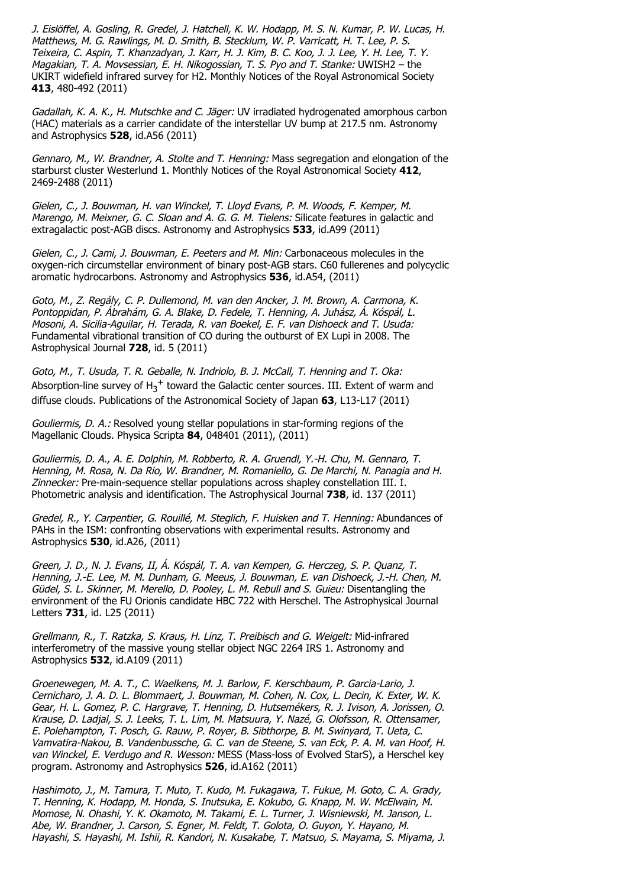J. Eislöffel, A. Gosling, R. Gredel, J. Hatchell, K. W. Hodapp, M. S. N. Kumar, P. W. Lucas, H. Matthews, M. G. Rawlings, M. D. Smith, B. Stecklum, W. P. Varricatt, H. T. Lee, P. S. Teixeira, C. Aspin, T. Khanzadyan, J. Karr, H. J. Kim, B. C. Koo, J. J. Lee, Y. H. Lee, T. Y. Magakian, T. A. Movsessian, E. H. Nikogossian, T. S. Pyo and T. Stanke: UWISH2 – the UKIRT widefield infrared survey for H2. Monthly Notices of the Royal Astronomical Society **413**, 480-492 (2011)

Gadallah, K. A. K., H. Mutschke and C. Jäger: UV irradiated hydrogenated amorphous carbon (HAC) materials as a carrier candidate of the interstellar UV bump at 217.5 nm. Astronomy and Astrophysics **528**, id.A56 (2011)

Gennaro, M., W. Brandner, A. Stolte and T. Henning: Mass segregation and elongation of the starburst cluster Westerlund 1. Monthly Notices of the Royal Astronomical Society **412**, 2469-2488 (2011)

Gielen, C., J. Bouwman, H. van Winckel, T. Lloyd Evans, P. M. Woods, F. Kemper, M. Marengo, M. Meixner, G. C. Sloan and A. G. G. M. Tielens: Silicate features in galactic and extragalactic post-AGB discs. Astronomy and Astrophysics **533**, id.A99 (2011)

Gielen, C., J. Cami, J. Bouwman, E. Peeters and M. Min: Carbonaceous molecules in the oxygen-rich circumstellar environment of binary post-AGB stars. C60 fullerenes and polycyclic aromatic hydrocarbons. Astronomy and Astrophysics **536**, id.A54, (2011)

Goto, M., Z. Regály, C. P. Dullemond, M. van den Ancker, J. M. Brown, A. Carmona, K. Pontoppidan, P. Ábrahám, G. A. Blake, D. Fedele, T. Henning, A. Juhász, Á. Kóspál, L. Mosoni, A. Sicilia-Aguilar, H. Terada, R. van Boekel, E. F. van Dishoeck and T. Usuda: Fundamental vibrational transition of CO during the outburst of EX Lupi in 2008. The Astrophysical Journal **728**, id. 5 (2011)

Goto, M., T. Usuda, T. R. Geballe, N. Indriolo, B. J. McCall, T. Henning and T. Oka: Absorption-line survey of  $H_3^+$  toward the Galactic center sources. III. Extent of warm and diffuse clouds. Publications of the Astronomical Society of Japan **63**, L13-L17 (2011)

Gouliermis, D. A.: Resolved young stellar populations in star-forming regions of the Magellanic Clouds. Physica Scripta **84**, 048401 (2011), (2011)

Gouliermis, D. A., A. E. Dolphin, M. Robberto, R. A. Gruendl, Y.-H. Chu, M. Gennaro, T. Henning, M. Rosa, N. Da Rio, W. Brandner, M. Romaniello, G. De Marchi, N. Panagia and H. Zinnecker: Pre-main-sequence stellar populations across shapley constellation III. I. Photometric analysis and identification. The Astrophysical Journal **738**, id. 137 (2011)

Gredel, R., Y. Carpentier, G. Rouillé, M. Steglich, F. Huisken and T. Henning: Abundances of PAHs in the ISM: confronting observations with experimental results. Astronomy and Astrophysics **530**, id.A26, (2011)

Green, J. D., N. J. Evans, II, Á. Kóspál, T. A. van Kempen, G. Herczeg, S. P. Quanz, T. Henning, J.-E. Lee, M. M. Dunham, G. Meeus, J. Bouwman, E. van Dishoeck, J.-H. Chen, M. Güdel, S. L. Skinner, M. Merello, D. Pooley, L. M. Rebull and S. Guieu: Disentangling the environment of the FU Orionis candidate HBC 722 with Herschel. The Astrophysical Journal Letters **731**, id. L25 (2011)

Grellmann, R., T. Ratzka, S. Kraus, H. Linz, T. Preibisch and G. Weigelt: Mid-infrared interferometry of the massive young stellar object NGC 2264 IRS 1. Astronomy and Astrophysics **532**, id.A109 (2011)

Groenewegen, M. A. T., C. Waelkens, M. J. Barlow, F. Kerschbaum, P. Garcia-Lario, J. Cernicharo, J. A. D. L. Blommaert, J. Bouwman, M. Cohen, N. Cox, L. Decin, K. Exter, W. K. Gear, H. L. Gomez, P. C. Hargrave, T. Henning, D. Hutsemékers, R. J. Ivison, A. Jorissen, O. Krause, D. Ladjal, S. J. Leeks, T. L. Lim, M. Matsuura, Y. Nazé, G. Olofsson, R. Ottensamer, E. Polehampton, T. Posch, G. Rauw, P. Royer, B. Sibthorpe, B. M. Swinyard, T. Ueta, C. Vamvatira-Nakou, B. Vandenbussche, G. C. van de Steene, S. van Eck, P. A. M. van Hoof, H. van Winckel, E. Verdugo and R. Wesson: MESS (Mass-loss of Evolved StarS), a Herschel key program. Astronomy and Astrophysics **526**, id.A162 (2011)

Hashimoto, J., M. Tamura, T. Muto, T. Kudo, M. Fukagawa, T. Fukue, M. Goto, C. A. Grady, T. Henning, K. Hodapp, M. Honda, S. Inutsuka, E. Kokubo, G. Knapp, M. W. McElwain, M. Momose, N. Ohashi, Y. K. Okamoto, M. Takami, E. L. Turner, J. Wisniewski, M. Janson, L. Abe, W. Brandner, J. Carson, S. Egner, M. Feldt, T. Golota, O. Guyon, Y. Hayano, M. Hayashi, S. Hayashi, M. Ishii, R. Kandori, N. Kusakabe, T. Matsuo, S. Mayama, S. Miyama, J.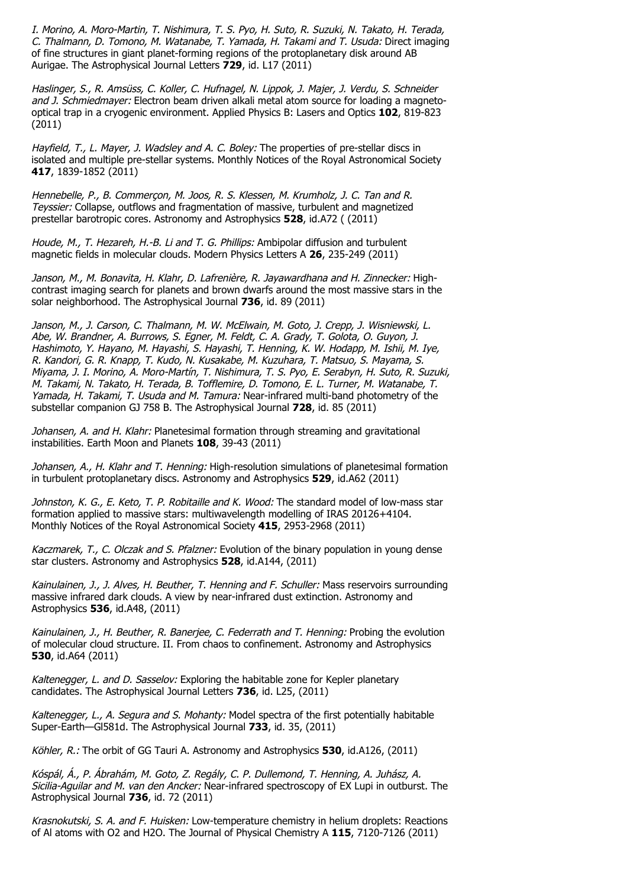I. Morino, A. Moro-Martin, T. Nishimura, T. S. Pyo, H. Suto, R. Suzuki, N. Takato, H. Terada, C. Thalmann, D. Tomono, M. Watanabe, T. Yamada, H. Takami and T. Usuda: Direct imaging of fine structures in giant planet-forming regions of the protoplanetary disk around AB Aurigae. The Astrophysical Journal Letters **729**, id. L17 (2011)

Haslinger, S., R. Amsüss, C. Koller, C. Hufnagel, N. Lippok, J. Majer, J. Verdu, S. Schneider and J. Schmiedmayer: Electron beam driven alkali metal atom source for loading a magnetooptical trap in a cryogenic environment. Applied Physics B: Lasers and Optics **102**, 819-823 (2011)

Hayfield, T., L. Mayer, J. Wadsley and A. C. Boley: The properties of pre-stellar discs in isolated and multiple pre-stellar systems. Monthly Notices of the Royal Astronomical Society **417**, 1839-1852 (2011)

Hennebelle, P., B. Commerçon, M. Joos, R. S. Klessen, M. Krumholz, J. C. Tan and R. Teyssier: Collapse, outflows and fragmentation of massive, turbulent and magnetized prestellar barotropic cores. Astronomy and Astrophysics **528**, id.A72 ( (2011)

Houde, M., T. Hezareh, H.-B. Li and T. G. Phillips: Ambipolar diffusion and turbulent magnetic fields in molecular clouds. Modern Physics Letters A **26**, 235-249 (2011)

Janson, M., M. Bonavita, H. Klahr, D. Lafrenière, R. Jayawardhana and H. Zinnecker: Highcontrast imaging search for planets and brown dwarfs around the most massive stars in the solar neighborhood. The Astrophysical Journal **736**, id. 89 (2011)

Janson, M., J. Carson, C. Thalmann, M. W. McElwain, M. Goto, J. Crepp, J. Wisniewski, L. Abe, W. Brandner, A. Burrows, S. Egner, M. Feldt, C. A. Grady, T. Golota, O. Guyon, J. Hashimoto, Y. Hayano, M. Hayashi, S. Hayashi, T. Henning, K. W. Hodapp, M. Ishii, M. Iye, R. Kandori, G. R. Knapp, T. Kudo, N. Kusakabe, M. Kuzuhara, T. Matsuo, S. Mayama, S. Miyama, J. I. Morino, A. Moro-Martín, T. Nishimura, T. S. Pyo, E. Serabyn, H. Suto, R. Suzuki, M. Takami, N. Takato, H. Terada, B. Tofflemire, D. Tomono, E. L. Turner, M. Watanabe, T. Yamada, H. Takami, T. Usuda and M. Tamura: Near-infrared multi-band photometry of the substellar companion GJ 758 B. The Astrophysical Journal **728**, id. 85 (2011)

Johansen, A. and H. Klahr: Planetesimal formation through streaming and gravitational instabilities. Earth Moon and Planets **108**, 39-43 (2011)

Johansen, A., H. Klahr and T. Henning: High-resolution simulations of planetesimal formation in turbulent protoplanetary discs. Astronomy and Astrophysics **529**, id.A62 (2011)

Johnston, K. G., E. Keto, T. P. Robitaille and K. Wood: The standard model of low-mass star formation applied to massive stars: multiwavelength modelling of IRAS 20126+4104. Monthly Notices of the Royal Astronomical Society **415**, 2953-2968 (2011)

Kaczmarek, T., C. Olczak and S. Pfalzner: Evolution of the binary population in young dense star clusters. Astronomy and Astrophysics **528**, id.A144, (2011)

Kainulainen, J., J. Alves, H. Beuther, T. Henning and F. Schuller: Mass reservoirs surrounding massive infrared dark clouds. A view by near-infrared dust extinction. Astronomy and Astrophysics **536**, id.A48, (2011)

Kainulainen, J., H. Beuther, R. Banerjee, C. Federrath and T. Henning: Probing the evolution of molecular cloud structure. II. From chaos to confinement. Astronomy and Astrophysics **530**, id.A64 (2011)

Kaltenegger, L. and D. Sasselov: Exploring the habitable zone for Kepler planetary candidates. The Astrophysical Journal Letters **736**, id. L25, (2011)

Kaltenegger, L., A. Segura and S. Mohanty: Model spectra of the first potentially habitable Super-Earth—Gl581d. The Astrophysical Journal **733**, id. 35, (2011)

Köhler, R.: The orbit of GG Tauri A. Astronomy and Astrophysics **530**, id.A126, (2011)

Kóspál, Á., P. Ábrahám, M. Goto, Z. Regály, C. P. Dullemond, T. Henning, A. Juhász, A. Sicilia-Aquilar and M. van den Ancker: Near-infrared spectroscopy of EX Lupi in outburst. The Astrophysical Journal **736**, id. 72 (2011)

Krasnokutski, S. A. and F. Huisken: Low-temperature chemistry in helium droplets: Reactions of Al atoms with O2 and H2O. The Journal of Physical Chemistry A **115**, 7120-7126 (2011)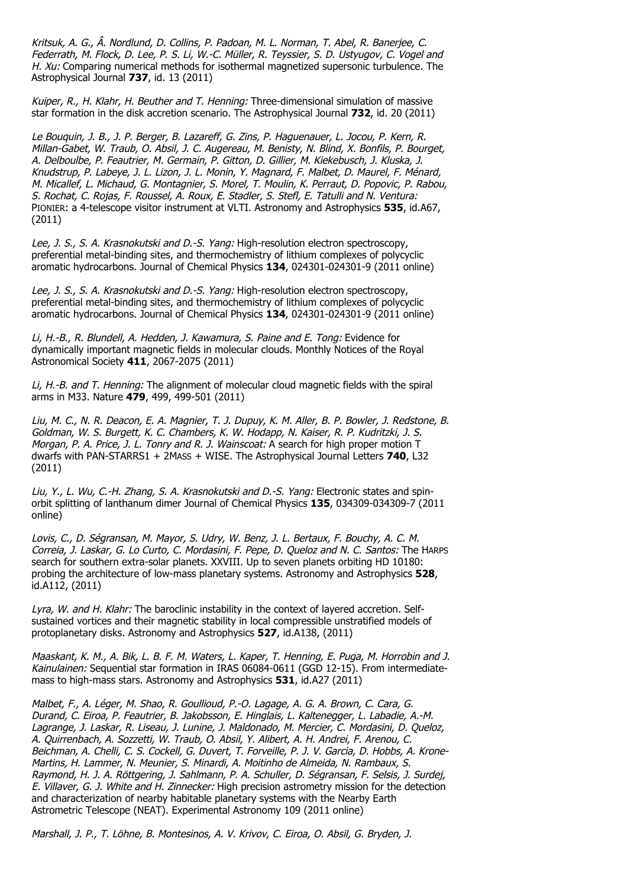Kritsuk, A. G., Â. Nordlund, D. Collins, P. Padoan, M. L. Norman, T. Abel, R. Banerjee, C. Federrath, M. Flock, D. Lee, P. S. Li, W.-C. Müller, R. Teyssier, S. D. Ustyugov, C. Vogel and H. Xu: Comparing numerical methods for isothermal magnetized supersonic turbulence. The Astrophysical Journal **737**, id. 13 (2011)

Kuiper, R., H. Klahr, H. Beuther and T. Henning: Three-dimensional simulation of massive star formation in the disk accretion scenario. The Astrophysical Journal **732**, id. 20 (2011)

Le Bouquin, J. B., J. P. Berger, B. Lazareff, G. Zins, P. Haguenauer, L. Jocou, P. Kern, R. Millan-Gabet, W. Traub, O. Absil, J. C. Augereau, M. Benisty, N. Blind, X. Bonfils, P. Bourget, A. Delboulbe, P. Feautrier, M. Germain, P. Gitton, D. Gillier, M. Kiekebusch, J. Kluska, J. Knudstrup, P. Labeye, J. L. Lizon, J. L. Monin, Y. Magnard, F. Malbet, D. Maurel, F. Ménard, M. Micallef, L. Michaud, G. Montagnier, S. Morel, T. Moulin, K. Perraut, D. Popovic, P. Rabou, S. Rochat, C. Rojas, F. Roussel, A. Roux, E. Stadler, S. Stefl, E. Tatulli and N. Ventura: PIONIER: a 4-telescope visitor instrument at VLTI. Astronomy and Astrophysics **535**, id.A67, (2011)

Lee, J. S., S. A. Krasnokutski and D.-S. Yang: High-resolution electron spectroscopy, preferential metal-binding sites, and thermochemistry of lithium complexes of polycyclic aromatic hydrocarbons. Journal of Chemical Physics **134**, 024301-024301-9 (2011 online)

Lee, J. S., S. A. Krasnokutski and D.-S. Yang: High-resolution electron spectroscopy, preferential metal-binding sites, and thermochemistry of lithium complexes of polycyclic aromatic hydrocarbons. Journal of Chemical Physics **134**, 024301-024301-9 (2011 online)

Li, H.-B., R. Blundell, A. Hedden, J. Kawamura, S. Paine and E. Tong: Evidence for dynamically important magnetic fields in molecular clouds. Monthly Notices of the Royal Astronomical Society **411**, 2067-2075 (2011)

Li, H.-B. and T. Henning: The alignment of molecular cloud magnetic fields with the spiral arms in M33. Nature **479**, 499, 499-501 (2011)

Liu, M. C., N. R. Deacon, E. A. Magnier, T. J. Dupuy, K. M. Aller, B. P. Bowler, J. Redstone, B. Goldman, W. S. Burgett, K. C. Chambers, K. W. Hodapp, N. Kaiser, R. P. Kudritzki, J. S. Morgan, P. A. Price, J. L. Tonry and R. J. Wainscoat: A search for high proper motion T dwarfs with PAN-STARRS1 + 2MASS + WISE. The Astrophysical Journal Letters **740**, L32 (2011)

Liu, Y., L. Wu, C.-H. Zhang, S. A. Krasnokutski and D.-S. Yang: Electronic states and spinorbit splitting of lanthanum dimer Journal of Chemical Physics **135**, 034309-034309-7 (2011 online)

Lovis, C., D. Ségransan, M. Mayor, S. Udry, W. Benz, J. L. Bertaux, F. Bouchy, A. C. M. Correia, J. Laskar, G. Lo Curto, C. Mordasini, F. Pepe, D. Queloz and N. C. Santos: The HARPS search for southern extra-solar planets. XXVIII. Up to seven planets orbiting HD 10180: probing the architecture of low-mass planetary systems. Astronomy and Astrophysics **528**, id.A112, (2011)

Lyra, W. and H. Klahr: The baroclinic instability in the context of layered accretion. Selfsustained vortices and their magnetic stability in local compressible unstratified models of protoplanetary disks. Astronomy and Astrophysics **527**, id.A138, (2011)

Maaskant, K. M., A. Bik, L. B. F. M. Waters, L. Kaper, T. Henning, E. Puga, M. Horrobin and J. Kainulainen: Sequential star formation in IRAS 06084-0611 (GGD 12-15). From intermediatemass to high-mass stars. Astronomy and Astrophysics **531**, id.A27 (2011)

Malbet, F., A. Léger, M. Shao, R. Goullioud, P.-O. Lagage, A. G. A. Brown, C. Cara, G. Durand, C. Eiroa, P. Feautrier, B. Jakobsson, E. Hinglais, L. Kaltenegger, L. Labadie, A.-M. Lagrange, J. Laskar, R. Liseau, J. Lunine, J. Maldonado, M. Mercier, C. Mordasini, D. Queloz, A. Quirrenbach, A. Sozzetti, W. Traub, O. Absil, Y. Alibert, A. H. Andrei, F. Arenou, C. Beichman, A. Chelli, C. S. Cockell, G. Duvert, T. Forveille, P. J. V. Garcia, D. Hobbs, A. Krone-Martins, H. Lammer, N. Meunier, S. Minardi, A. Moitinho de Almeida, N. Rambaux, S. Raymond, H. J. A. Röttgering, J. Sahlmann, P. A. Schuller, D. Ségransan, F. Selsis, J. Surdej, E. Villaver, G. J. White and H. Zinnecker: High precision astrometry mission for the detection and characterization of nearby habitable planetary systems with the Nearby Earth Astrometric Telescope (NEAT). Experimental Astronomy 109 (2011 online)

Marshall, J. P., T. Löhne, B. Montesinos, A. V. Krivov, C. Eiroa, O. Absil, G. Bryden, J.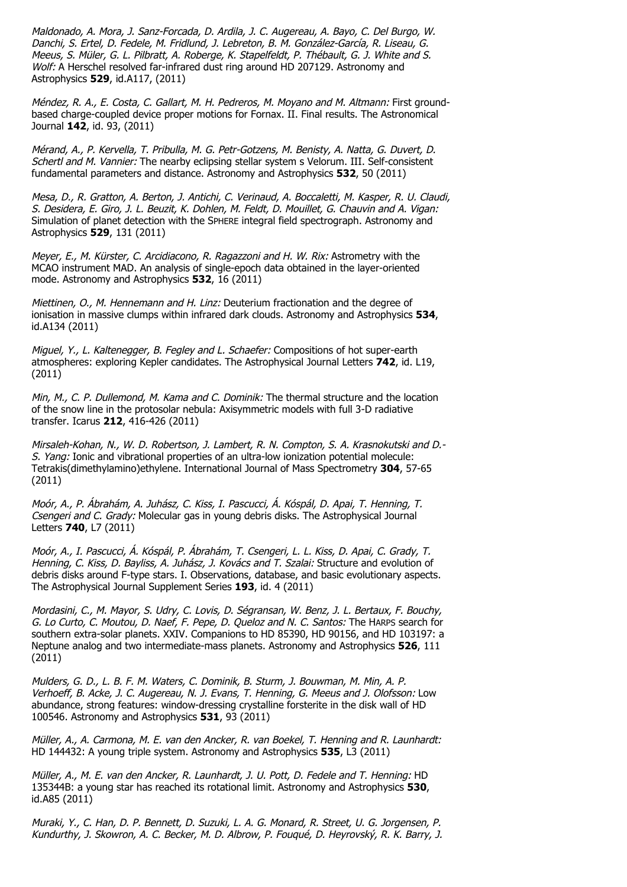Maldonado, A. Mora, J. Sanz-Forcada, D. Ardila, J. C. Augereau, A. Bayo, C. Del Burgo, W. Danchi, S. Ertel, D. Fedele, M. Fridlund, J. Lebreton, B. M. González-García, R. Liseau, G. Meeus, S. Müler, G. L. Pilbratt, A. Roberge, K. Stapelfeldt, P. Thébault, G. J. White and S. Wolf: A Herschel resolved far-infrared dust ring around HD 207129. Astronomy and Astrophysics **529**, id.A117, (2011)

Méndez, R. A., E. Costa, C. Gallart, M. H. Pedreros, M. Moyano and M. Altmann: First groundbased charge-coupled device proper motions for Fornax. II. Final results. The Astronomical Journal **142**, id. 93, (2011)

Mérand, A., P. Kervella, T. Pribulla, M. G. Petr-Gotzens, M. Benisty, A. Natta, G. Duvert, D. Schertl and M. Vannier: The nearby eclipsing stellar system s Velorum. III. Self-consistent fundamental parameters and distance. Astronomy and Astrophysics **532**, 50 (2011)

Mesa, D., R. Gratton, A. Berton, J. Antichi, C. Verinaud, A. Boccaletti, M. Kasper, R. U. Claudi, S. Desidera, E. Giro, J. L. Beuzit, K. Dohlen, M. Feldt, D. Mouillet, G. Chauvin and A. Vigan: Simulation of planet detection with the SPHERE integral field spectrograph. Astronomy and Astrophysics **529**, 131 (2011)

Meyer, E., M. Kürster, C. Arcidiacono, R. Ragazzoni and H. W. Rix: Astrometry with the MCAO instrument MAD. An analysis of single-epoch data obtained in the layer-oriented mode. Astronomy and Astrophysics **532**, 16 (2011)

Miettinen, O., M. Hennemann and H. Linz: Deuterium fractionation and the degree of ionisation in massive clumps within infrared dark clouds. Astronomy and Astrophysics **534**, id.A134 (2011)

Miguel, Y., L. Kaltenegger, B. Fegley and L. Schaefer: Compositions of hot super-earth atmospheres: exploring Kepler candidates. The Astrophysical Journal Letters **742**, id. L19, (2011)

Min, M., C. P. Dullemond, M. Kama and C. Dominik: The thermal structure and the location of the snow line in the protosolar nebula: Axisymmetric models with full 3-D radiative transfer. Icarus **212**, 416-426 (2011)

Mirsaleh-Kohan, N., W. D. Robertson, J. Lambert, R. N. Compton, S. A. Krasnokutski and D.- S. Yang: Ionic and vibrational properties of an ultra-low ionization potential molecule: Tetrakis(dimethylamino)ethylene. International Journal of Mass Spectrometry **304**, 57-65 (2011)

Moór, A., P. Ábrahám, A. Juhász, C. Kiss, I. Pascucci, Á. Kóspál, D. Apai, T. Henning, T. Csengeri and C. Grady: Molecular gas in young debris disks. The Astrophysical Journal Letters **740**, L7 (2011)

Moór, A., I. Pascucci, Á. Kóspál, P. Ábrahám, T. Csengeri, L. L. Kiss, D. Apai, C. Grady, T. Henning, C. Kiss, D. Bayliss, A. Juhász, J. Kovács and T. Szalai: Structure and evolution of debris disks around F-type stars. I. Observations, database, and basic evolutionary aspects. The Astrophysical Journal Supplement Series **193**, id. 4 (2011)

Mordasini, C., M. Mayor, S. Udry, C. Lovis, D. Ségransan, W. Benz, J. L. Bertaux, F. Bouchy, G. Lo Curto, C. Moutou, D. Naef, F. Pepe, D. Queloz and N. C. Santos: The HARPS search for southern extra-solar planets. XXIV. Companions to HD 85390, HD 90156, and HD 103197: a Neptune analog and two intermediate-mass planets. Astronomy and Astrophysics **526**, 111 (2011)

Mulders, G. D., L. B. F. M. Waters, C. Dominik, B. Sturm, J. Bouwman, M. Min, A. P. Verhoeff, B. Acke, J. C. Augereau, N. J. Evans, T. Henning, G. Meeus and J. Olofsson: Low abundance, strong features: window-dressing crystalline forsterite in the disk wall of HD 100546. Astronomy and Astrophysics **531**, 93 (2011)

Müller, A., A. Carmona, M. E. van den Ancker, R. van Boekel, T. Henning and R. Launhardt: HD 144432: A young triple system. Astronomy and Astrophysics **535**, L3 (2011)

Müller, A., M. E. van den Ancker, R. Launhardt, J. U. Pott, D. Fedele and T. Henning: HD 135344B: a young star has reached its rotational limit. Astronomy and Astrophysics **530**, id.A85 (2011)

Muraki, Y., C. Han, D. P. Bennett, D. Suzuki, L. A. G. Monard, R. Street, U. G. Jorgensen, P. Kundurthy, J. Skowron, A. C. Becker, M. D. Albrow, P. Fouqué, D. Heyrovský, R. K. Barry, J.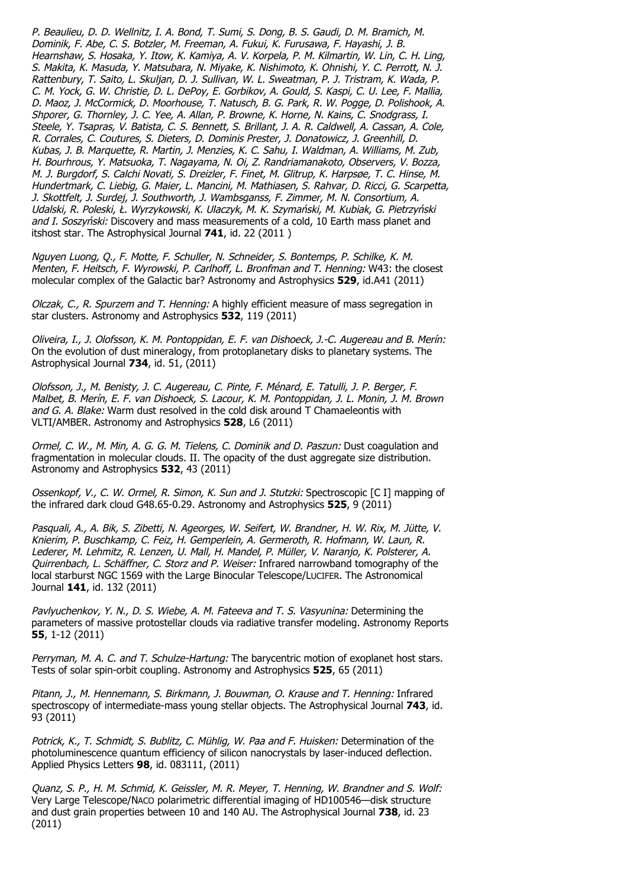P. Beaulieu, D. D. Wellnitz, I. A. Bond, T. Sumi, S. Dong, B. S. Gaudi, D. M. Bramich, M. Dominik, F. Abe, C. S. Botzler, M. Freeman, A. Fukui, K. Furusawa, F. Hayashi, J. B. Hearnshaw, S. Hosaka, Y. Itow, K. Kamiya, A. V. Korpela, P. M. Kilmartin, W. Lin, C. H. Ling, S. Makita, K. Masuda, Y. Matsubara, N. Miyake, K. Nishimoto, K. Ohnishi, Y. C. Perrott, N. J. Rattenbury, T. Saito, L. Skuljan, D. J. Sullivan, W. L. Sweatman, P. J. Tristram, K. Wada, P. C. M. Yock, G. W. Christie, D. L. DePoy, E. Gorbikov, A. Gould, S. Kaspi, C. U. Lee, F. Mallia, D. Maoz, J. McCormick, D. Moorhouse, T. Natusch, B. G. Park, R. W. Pogge, D. Polishook, A. Shporer, G. Thornley, J. C. Yee, A. Allan, P. Browne, K. Horne, N. Kains, C. Snodgrass, I. Steele, Y. Tsapras, V. Batista, C. S. Bennett, S. Brillant, J. A. R. Caldwell, A. Cassan, A. Cole, R. Corrales, C. Coutures, S. Dieters, D. Dominis Prester, J. Donatowicz, J. Greenhill, D. Kubas, J. B. Marquette, R. Martin, J. Menzies, K. C. Sahu, I. Waldman, A. Williams, M. Zub, H. Bourhrous, Y. Matsuoka, T. Nagayama, N. Oi, Z. Randriamanakoto, Observers, V. Bozza, M. J. Burgdorf, S. Calchi Novati, S. Dreizler, F. Finet, M. Glitrup, K. Harpsøe, T. C. Hinse, M. Hundertmark, C. Liebig, G. Maier, L. Mancini, M. Mathiasen, S. Rahvar, D. Ricci, G. Scarpetta, J. Skottfelt, J. Surdej, J. Southworth, J. Wambsganss, F. Zimmer, M. N. Consortium, A. Udalski, R. Poleski, Ł. Wyrzykowski, K. Ulaczyk, M. K. Szymański, M. Kubiak, G. Pietrzyński and I. Soszyński: Discovery and mass measurements of a cold, 10 Earth mass planet and itshost star. The Astrophysical Journal **741**, id. 22 (2011 )

Nguyen Luong, Q., F. Motte, F. Schuller, N. Schneider, S. Bontemps, P. Schilke, K. M. Menten, F. Heitsch, F. Wyrowski, P. Carlhoff, L. Bronfman and T. Henning: W43: the closest molecular complex of the Galactic bar? Astronomy and Astrophysics **529**, id.A41 (2011)

Olczak, C., R. Spurzem and T. Henning: A highly efficient measure of mass segregation in star clusters. Astronomy and Astrophysics **532**, 119 (2011)

Oliveira, I., J. Olofsson, K. M. Pontoppidan, E. F. van Dishoeck, J.-C. Augereau and B. Merín: On the evolution of dust mineralogy, from protoplanetary disks to planetary systems. The Astrophysical Journal **734**, id. 51, (2011)

Olofsson, J., M. Benisty, J. C. Augereau, C. Pinte, F. Ménard, E. Tatulli, J. P. Berger, F. Malbet, B. Merín, E. F. van Dishoeck, S. Lacour, K. M. Pontoppidan, J. L. Monin, J. M. Brown and G. A. Blake: Warm dust resolved in the cold disk around T Chamaeleontis with VLTI/AMBER. Astronomy and Astrophysics **528**, L6 (2011)

Ormel, C. W., M. Min, A. G. G. M. Tielens, C. Dominik and D. Paszun: Dust coagulation and fragmentation in molecular clouds. II. The opacity of the dust aggregate size distribution. Astronomy and Astrophysics **532**, 43 (2011)

Ossenkopf, V., C. W. Ormel, R. Simon, K. Sun and J. Stutzki: Spectroscopic [C I] mapping of the infrared dark cloud G48.65-0.29. Astronomy and Astrophysics **525**, 9 (2011)

Pasquali, A., A. Bik, S. Zibetti, N. Ageorges, W. Seifert, W. Brandner, H. W. Rix, M. Jütte, V. Knierim, P. Buschkamp, C. Feiz, H. Gemperlein, A. Germeroth, R. Hofmann, W. Laun, R. Lederer, M. Lehmitz, R. Lenzen, U. Mall, H. Mandel, P. Müller, V. Naranjo, K. Polsterer, A. Quirrenbach, L. Schäffner, C. Storz and P. Weiser: Infrared narrowband tomography of the local starburst NGC 1569 with the Large Binocular Telescope/LUCIFER. The Astronomical Journal **141**, id. 132 (2011)

Pavlyuchenkov, Y. N., D. S. Wiebe, A. M. Fateeva and T. S. Vasyunina: Determining the parameters of massive protostellar clouds via radiative transfer modeling. Astronomy Reports **55**, 1-12 (2011)

Perryman, M. A. C. and T. Schulze-Hartung: The barycentric motion of exoplanet host stars. Tests of solar spin-orbit coupling. Astronomy and Astrophysics **525**, 65 (2011)

Pitann, J., M. Hennemann, S. Birkmann, J. Bouwman, O. Krause and T. Henning: Infrared spectroscopy of intermediate-mass young stellar objects. The Astrophysical Journal **743**, id. 93 (2011)

Potrick, K., T. Schmidt, S. Bublitz, C. Mühlig, W. Paa and F. Huisken: Determination of the photoluminescence quantum efficiency of silicon nanocrystals by laser-induced deflection. Applied Physics Letters **98**, id. 083111, (2011)

Quanz, S. P., H. M. Schmid, K. Geissler, M. R. Meyer, T. Henning, W. Brandner and S. Wolf: Very Large Telescope/NACO polarimetric differential imaging of HD100546—disk structure and dust grain properties between 10 and 140 AU. The Astrophysical Journal **738**, id. 23 (2011)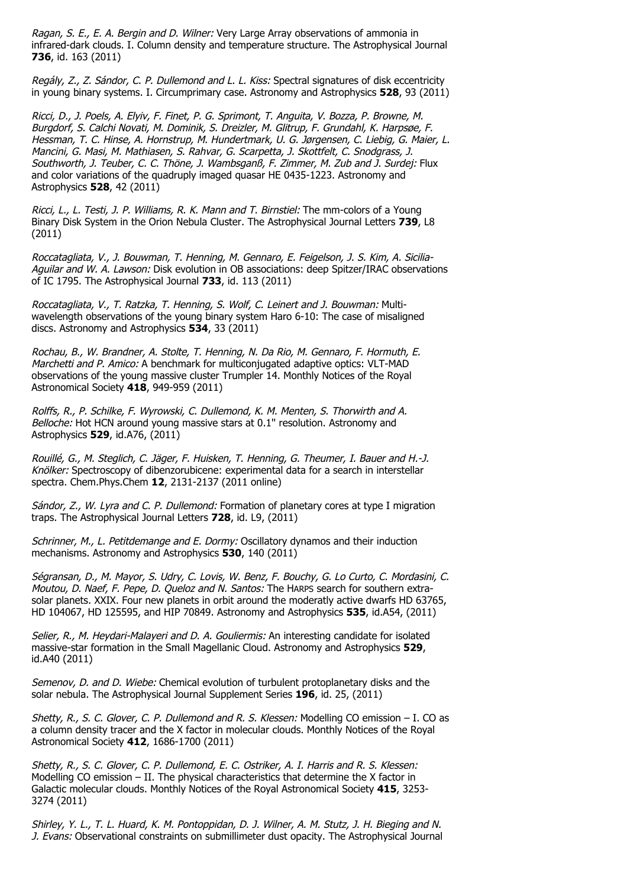Ragan, S. E., E. A. Bergin and D. Wilner: Very Large Array observations of ammonia in infrared-dark clouds. I. Column density and temperature structure. The Astrophysical Journal **736**, id. 163 (2011)

Regály, Z., Z. Sándor, C. P. Dullemond and L. L. Kiss: Spectral signatures of disk eccentricity in young binary systems. I. Circumprimary case. Astronomy and Astrophysics **528**, 93 (2011)

Ricci, D., J. Poels, A. Elyiv, F. Finet, P. G. Sprimont, T. Anguita, V. Bozza, P. Browne, M. Burgdorf, S. Calchi Novati, M. Dominik, S. Dreizler, M. Glitrup, F. Grundahl, K. Harpsøe, F. Hessman, T. C. Hinse, A. Hornstrup, M. Hundertmark, U. G. Jørgensen, C. Liebig, G. Maier, L. Mancini, G. Masi, M. Mathiasen, S. Rahvar, G. Scarpetta, J. Skottfelt, C. Snodgrass, J. Southworth, J. Teuber, C. C. Thöne, J. Wambsganß, F. Zimmer, M. Zub and J. Surdej: Flux and color variations of the quadruply imaged quasar HE 0435-1223. Astronomy and Astrophysics **528**, 42 (2011)

Ricci, L., L. Testi, J. P. Williams, R. K. Mann and T. Birnstiel: The mm-colors of a Young Binary Disk System in the Orion Nebula Cluster. The Astrophysical Journal Letters **739**, L8 (2011)

Roccatagliata, V., J. Bouwman, T. Henning, M. Gennaro, E. Feigelson, J. S. Kim, A. Sicilia-Aguilar and W. A. Lawson: Disk evolution in OB associations: deep Spitzer/IRAC observations of IC 1795. The Astrophysical Journal **733**, id. 113 (2011)

Roccatagliata, V., T. Ratzka, T. Henning, S. Wolf, C. Leinert and J. Bouwman: Multiwavelength observations of the young binary system Haro 6-10: The case of misaligned discs. Astronomy and Astrophysics **534**, 33 (2011)

Rochau, B., W. Brandner, A. Stolte, T. Henning, N. Da Rio, M. Gennaro, F. Hormuth, E. Marchetti and P. Amico: A benchmark for multiconjugated adaptive optics: VLT-MAD observations of the young massive cluster Trumpler 14. Monthly Notices of the Royal Astronomical Society **418**, 949-959 (2011)

Rolffs, R., P. Schilke, F. Wyrowski, C. Dullemond, K. M. Menten, S. Thorwirth and A. Belloche: Hot HCN around young massive stars at 0.1'' resolution. Astronomy and Astrophysics **529**, id.A76, (2011)

Rouillé, G., M. Steglich, C. Jäger, F. Huisken, T. Henning, G. Theumer, I. Bauer and H.-J. Knölker: Spectroscopy of dibenzorubicene: experimental data for a search in interstellar spectra. Chem.Phys.Chem **12**, 2131-2137 (2011 online)

Sándor, Z., W. Lyra and C. P. Dullemond: Formation of planetary cores at type I migration traps. The Astrophysical Journal Letters **728**, id. L9, (2011)

Schrinner, M., L. Petitdemange and E. Dormy: Oscillatory dynamos and their induction mechanisms. Astronomy and Astrophysics **530**, 140 (2011)

Ségransan, D., M. Mayor, S. Udry, C. Lovis, W. Benz, F. Bouchy, G. Lo Curto, C. Mordasini, C. Moutou, D. Naef, F. Pepe, D. Queloz and N. Santos: The HARPS search for southern extrasolar planets. XXIX. Four new planets in orbit around the moderatly active dwarfs HD 63765, HD 104067, HD 125595, and HIP 70849. Astronomy and Astrophysics **535**, id.A54, (2011)

Selier, R., M. Heydari-Malayeri and D. A. Gouliermis: An interesting candidate for isolated massive-star formation in the Small Magellanic Cloud. Astronomy and Astrophysics **529**, id.A40 (2011)

Semenov, D. and D. Wiebe: Chemical evolution of turbulent protoplanetary disks and the solar nebula. The Astrophysical Journal Supplement Series **196**, id. 25, (2011)

Shetty, R., S. C. Glover, C. P. Dullemond and R. S. Klessen: Modelling CO emission – I. CO as a column density tracer and the X factor in molecular clouds. Monthly Notices of the Royal Astronomical Society **412**, 1686-1700 (2011)

Shetty, R., S. C. Glover, C. P. Dullemond, E. C. Ostriker, A. I. Harris and R. S. Klessen: Modelling CO emission – II. The physical characteristics that determine the X factor in Galactic molecular clouds. Monthly Notices of the Royal Astronomical Society **415**, 3253- 3274 (2011)

Shirley, Y. L., T. L. Huard, K. M. Pontoppidan, D. J. Wilner, A. M. Stutz, J. H. Bieging and N. J. Evans: Observational constraints on submillimeter dust opacity. The Astrophysical Journal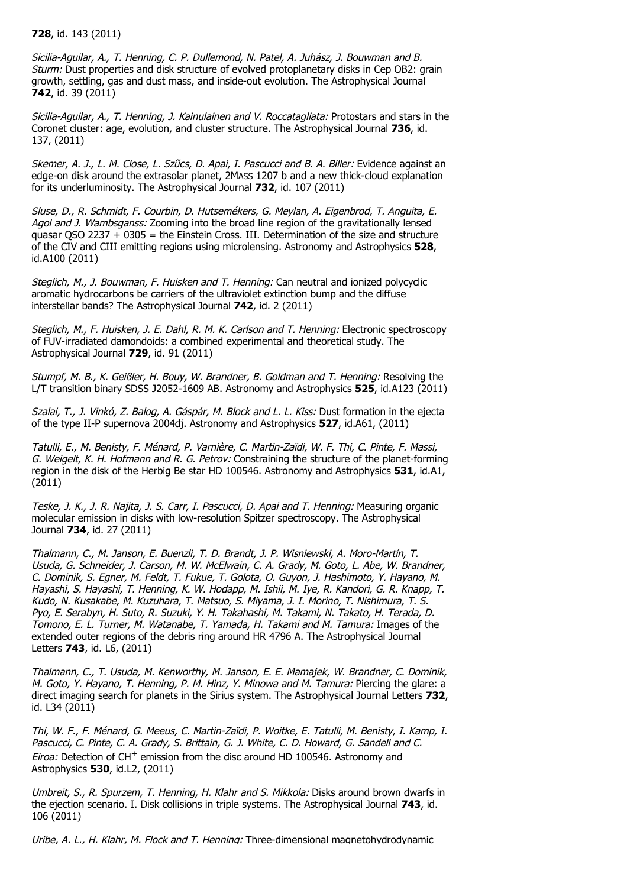#### **728**, id. 143 (2011)

Sicilia-Aguilar, A., T. Henning, C. P. Dullemond, N. Patel, A. Juhász, J. Bouwman and B. Sturm: Dust properties and disk structure of evolved protoplanetary disks in Cep OB2: grain growth, settling, gas and dust mass, and inside-out evolution. The Astrophysical Journal **742**, id. 39 (2011)

Sicilia-Aguilar, A., T. Henning, J. Kainulainen and V. Roccatagliata: Protostars and stars in the Coronet cluster: age, evolution, and cluster structure. The Astrophysical Journal **736**, id. 137, (2011)

Skemer, A. J., L. M. Close, L. Szűcs, D. Apai, I. Pascucci and B. A. Biller: Evidence against an edge-on disk around the extrasolar planet, 2MASS 1207 b and a new thick-cloud explanation for its underluminosity. The Astrophysical Journal **732**, id. 107 (2011)

Sluse, D., R. Schmidt, F. Courbin, D. Hutsemékers, G. Meylan, A. Eigenbrod, T. Anguita, E. Agol and J. Wambsganss: Zooming into the broad line region of the gravitationally lensed quasar QSO 2237 + 0305 = the Einstein Cross. III. Determination of the size and structure of the CIV and CIII emitting regions using microlensing. Astronomy and Astrophysics **528**, id.A100 (2011)

Steglich, M., J. Bouwman, F. Huisken and T. Henning: Can neutral and ionized polycyclic aromatic hydrocarbons be carriers of the ultraviolet extinction bump and the diffuse interstellar bands? The Astrophysical Journal **742**, id. 2 (2011)

Steglich, M., F. Huisken, J. E. Dahl, R. M. K. Carlson and T. Henning: Electronic spectroscopy of FUV-irradiated damondoids: a combined experimental and theoretical study. The Astrophysical Journal **729**, id. 91 (2011)

Stumpf, M. B., K. Geißler, H. Bouy, W. Brandner, B. Goldman and T. Henning: Resolving the L/T transition binary SDSS J2052-1609 AB. Astronomy and Astrophysics **525**, id.A123 (2011)

Szalai, T., J. Vinkó, Z. Balog, A. Gáspár, M. Block and L. L. Kiss: Dust formation in the ejecta of the type II-P supernova 2004dj. Astronomy and Astrophysics **527**, id.A61, (2011)

Tatulli, E., M. Benisty, F. Ménard, P. Varnière, C. Martin-Zaïdi, W. F. Thi, C. Pinte, F. Massi, G. Weigelt, K. H. Hofmann and R. G. Petrov: Constraining the structure of the planet-forming region in the disk of the Herbig Be star HD 100546. Astronomy and Astrophysics **531**, id.A1, (2011)

Teske, J. K., J. R. Najita, J. S. Carr, I. Pascucci, D. Apai and T. Henning: Measuring organic molecular emission in disks with low-resolution Spitzer spectroscopy. The Astrophysical Journal **734**, id. 27 (2011)

Thalmann, C., M. Janson, E. Buenzli, T. D. Brandt, J. P. Wisniewski, A. Moro-Martín, T. Usuda, G. Schneider, J. Carson, M. W. McElwain, C. A. Grady, M. Goto, L. Abe, W. Brandner, C. Dominik, S. Egner, M. Feldt, T. Fukue, T. Golota, O. Guyon, J. Hashimoto, Y. Hayano, M. Hayashi, S. Hayashi, T. Henning, K. W. Hodapp, M. Ishii, M. Iye, R. Kandori, G. R. Knapp, T. Kudo, N. Kusakabe, M. Kuzuhara, T. Matsuo, S. Miyama, J. I. Morino, T. Nishimura, T. S. Pyo, E. Serabyn, H. Suto, R. Suzuki, Y. H. Takahashi, M. Takami, N. Takato, H. Terada, D. Tomono, E. L. Turner, M. Watanabe, T. Yamada, H. Takami and M. Tamura: Images of the extended outer regions of the debris ring around HR 4796 A. The Astrophysical Journal Letters **743**, id. L6, (2011)

Thalmann, C., T. Usuda, M. Kenworthy, M. Janson, E. E. Mamajek, W. Brandner, C. Dominik, M. Goto, Y. Hayano, T. Henning, P. M. Hinz, Y. Minowa and M. Tamura: Piercing the glare: a direct imaging search for planets in the Sirius system. The Astrophysical Journal Letters **732**, id. L34 (2011)

Thi, W. F., F. Ménard, G. Meeus, C. Martin-Zaïdi, P. Woitke, E. Tatulli, M. Benisty, I. Kamp, I. Pascucci, C. Pinte, C. A. Grady, S. Brittain, G. J. White, C. D. Howard, G. Sandell and C. *Eiroa:* Detection of CH<sup>+</sup> emission from the disc around HD 100546. Astronomy and Astrophysics **530**, id.L2, (2011)

Umbreit, S., R. Spurzem, T. Henning, H. Klahr and S. Mikkola: Disks around brown dwarfs in the ejection scenario. I. Disk collisions in triple systems. The Astrophysical Journal **743**, id. 106 (2011)

Uribe, A. L., H. Klahr, M. Flock and T. Henning: Three-dimensional magnetohydrodynamic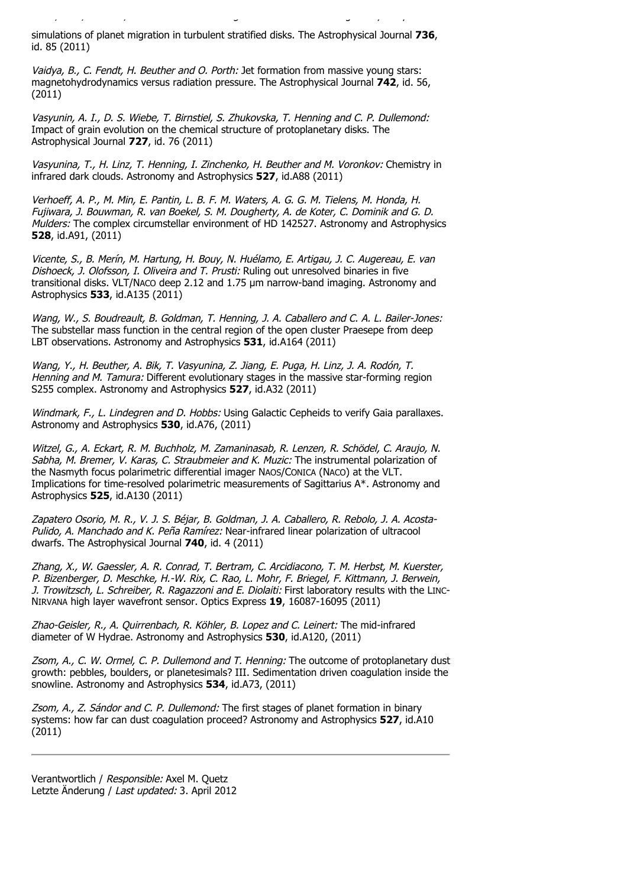simulations of planet migration in turbulent stratified disks. The Astrophysical Journal **736**, id. 85 (2011)

Uribe, A. L., H. Klahr, M. Flock and T. Henning: Three-dimensional magnetohydrodynamic

Vaidya, B., C. Fendt, H. Beuther and O. Porth: Jet formation from massive young stars: magnetohydrodynamics versus radiation pressure. The Astrophysical Journal **742**, id. 56, (2011)

Vasyunin, A. I., D. S. Wiebe, T. Birnstiel, S. Zhukovska, T. Henning and C. P. Dullemond: Impact of grain evolution on the chemical structure of protoplanetary disks. The Astrophysical Journal **727**, id. 76 (2011)

Vasyunina, T., H. Linz, T. Henning, I. Zinchenko, H. Beuther and M. Voronkov: Chemistry in infrared dark clouds. Astronomy and Astrophysics **527**, id.A88 (2011)

Verhoeff, A. P., M. Min, E. Pantin, L. B. F. M. Waters, A. G. G. M. Tielens, M. Honda, H. Fujiwara, J. Bouwman, R. van Boekel, S. M. Dougherty, A. de Koter, C. Dominik and G. D. Mulders: The complex circumstellar environment of HD 142527. Astronomy and Astrophysics **528**, id.A91, (2011)

Vicente, S., B. Merín, M. Hartung, H. Bouy, N. Huélamo, E. Artigau, J. C. Augereau, E. van Dishoeck, J. Olofsson, I. Oliveira and T. Prusti: Ruling out unresolved binaries in five transitional disks. VLT/NACO deep  $2.12$  and  $1.75$   $\mu$ m narrow-band imaging. Astronomy and Astrophysics **533**, id.A135 (2011)

Wang, W., S. Boudreault, B. Goldman, T. Henning, J. A. Caballero and C. A. L. Bailer-Jones: The substellar mass function in the central region of the open cluster Praesepe from deep LBT observations. Astronomy and Astrophysics **531**, id.A164 (2011)

Wang, Y., H. Beuther, A. Bik, T. Vasyunina, Z. Jiang, E. Puga, H. Linz, J. A. Rodón, T. Henning and M. Tamura: Different evolutionary stages in the massive star-forming region S255 complex. Astronomy and Astrophysics **527**, id.A32 (2011)

Windmark, F., L. Lindegren and D. Hobbs: Using Galactic Cepheids to verify Gaia parallaxes. Astronomy and Astrophysics **530**, id.A76, (2011)

Witzel, G., A. Eckart, R. M. Buchholz, M. Zamaninasab, R. Lenzen, R. Schödel, C. Araujo, N. Sabha, M. Bremer, V. Karas, C. Straubmeier and K. Muzic: The instrumental polarization of the Nasmyth focus polarimetric differential imager NAOS/CONICA (NACO) at the VLT. Implications for time-resolved polarimetric measurements of Sagittarius A\*. Astronomy and Astrophysics **525**, id.A130 (2011)

Zapatero Osorio, M. R., V. J. S. Béjar, B. Goldman, J. A. Caballero, R. Rebolo, J. A. Acosta-Pulido, A. Manchado and K. Peña Ramírez: Near-infrared linear polarization of ultracool dwarfs. The Astrophysical Journal **740**, id. 4 (2011)

Zhang, X., W. Gaessler, A. R. Conrad, T. Bertram, C. Arcidiacono, T. M. Herbst, M. Kuerster, P. Bizenberger, D. Meschke, H.-W. Rix, C. Rao, L. Mohr, F. Briegel, F. Kittmann, J. Berwein, J. Trowitzsch, L. Schreiber, R. Ragazzoni and E. Diolaiti: First laboratory results with the LINC-NIRVANA high layer wavefront sensor. Optics Express **19**, 16087-16095 (2011)

Zhao-Geisler, R., A. Quirrenbach, R. Köhler, B. Lopez and C. Leinert: The mid-infrared diameter of W Hydrae. Astronomy and Astrophysics **530**, id.A120, (2011)

Zsom, A., C. W. Ormel, C. P. Dullemond and T. Henning: The outcome of protoplanetary dust growth: pebbles, boulders, or planetesimals? III. Sedimentation driven coagulation inside the snowline. Astronomy and Astrophysics **534**, id.A73, (2011)

Zsom, A., Z. Sándor and C. P. Dullemond: The first stages of planet formation in binary systems: how far can dust coagulation proceed? Astronomy and Astrophysics **527**, id.A10 (2011)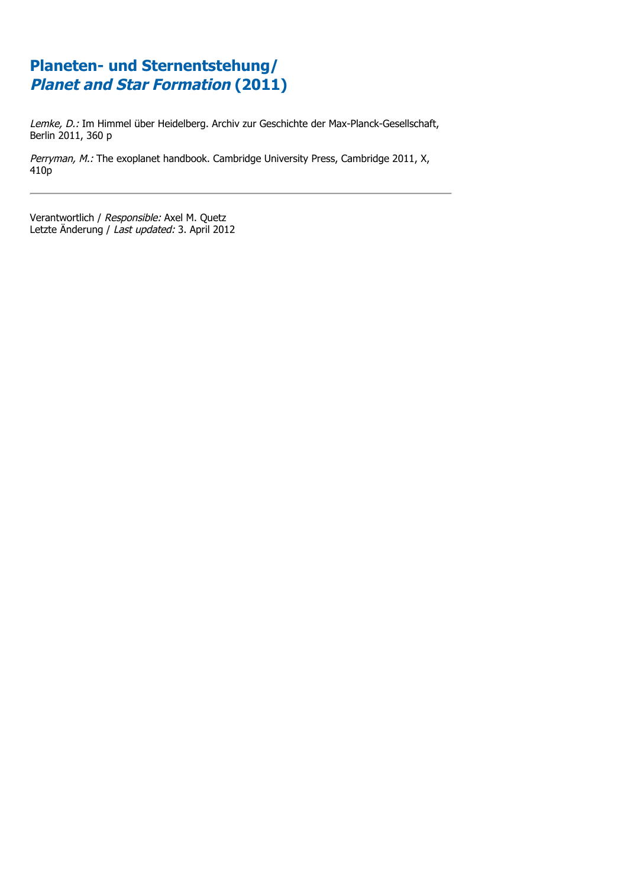Lemke, D.: Im Himmel über Heidelberg. Archiv zur Geschichte der Max-Planck-Gesellschaft, Berlin 2011, 360 p

Perryman, M.: The exoplanet handbook. Cambridge University Press, Cambridge 2011, X, 410p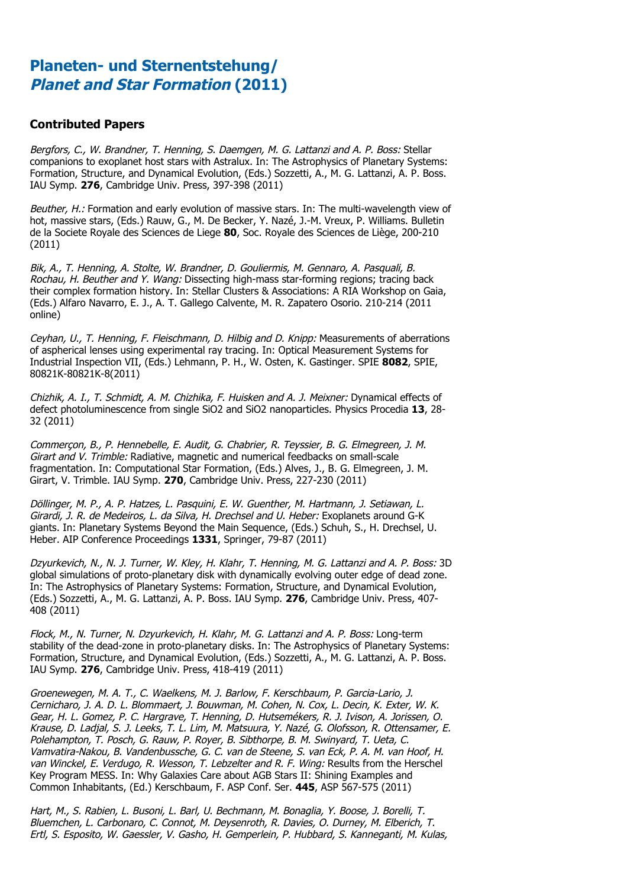#### **Contributed Papers**

Bergfors, C., W. Brandner, T. Henning, S. Daemgen, M. G. Lattanzi and A. P. Boss: Stellar companions to exoplanet host stars with Astralux. In: The Astrophysics of Planetary Systems: Formation, Structure, and Dynamical Evolution, (Eds.) Sozzetti, A., M. G. Lattanzi, A. P. Boss. IAU Symp. **276**, Cambridge Univ. Press, 397-398 (2011)

Beuther, H.: Formation and early evolution of massive stars. In: The multi-wavelength view of hot, massive stars, (Eds.) Rauw, G., M. De Becker, Y. Nazé, J.-M. Vreux, P. Williams. Bulletin de la Societe Royale des Sciences de Liege **80**, Soc. Royale des Sciences de Liège, 200-210 (2011)

Bik, A., T. Henning, A. Stolte, W. Brandner, D. Gouliermis, M. Gennaro, A. Pasquali, B. Rochau, H. Beuther and Y. Wang: Dissecting high-mass star-forming regions; tracing back their complex formation history. In: Stellar Clusters & Associations: A RIA Workshop on Gaia, (Eds.) Alfaro Navarro, E. J., A. T. Gallego Calvente, M. R. Zapatero Osorio. 210-214 (2011 online)

Ceyhan, U., T. Henning, F. Fleischmann, D. Hilbig and D. Knipp: Measurements of aberrations of aspherical lenses using experimental ray tracing. In: Optical Measurement Systems for Industrial Inspection VII, (Eds.) Lehmann, P. H., W. Osten, K. Gastinger. SPIE **8082**, SPIE, 80821K-80821K-8(2011)

Chizhik, A. I., T. Schmidt, A. M. Chizhika, F. Huisken and A. J. Meixner: Dynamical effects of defect photoluminescence from single SiO2 and SiO2 nanoparticles. Physics Procedia **13**, 28- 32 (2011)

Commerçon, B., P. Hennebelle, E. Audit, G. Chabrier, R. Teyssier, B. G. Elmegreen, J. M. Girart and V. Trimble: Radiative, magnetic and numerical feedbacks on small-scale fragmentation. In: Computational Star Formation, (Eds.) Alves, J., B. G. Elmegreen, J. M. Girart, V. Trimble. IAU Symp. **270**, Cambridge Univ. Press, 227-230 (2011)

Döllinger, M. P., A. P. Hatzes, L. Pasquini, E. W. Guenther, M. Hartmann, J. Setiawan, L. Girardi, J. R. de Medeiros, L. da Silva, H. Drechsel and U. Heber: Exoplanets around G-K giants. In: Planetary Systems Beyond the Main Sequence, (Eds.) Schuh, S., H. Drechsel, U. Heber. AIP Conference Proceedings **1331**, Springer, 79-87 (2011)

Dzyurkevich, N., N. J. Turner, W. Kley, H. Klahr, T. Henning, M. G. Lattanzi and A. P. Boss: 3D global simulations of proto-planetary disk with dynamically evolving outer edge of dead zone. In: The Astrophysics of Planetary Systems: Formation, Structure, and Dynamical Evolution, (Eds.) Sozzetti, A., M. G. Lattanzi, A. P. Boss. IAU Symp. **276**, Cambridge Univ. Press, 407- 408 (2011)

Flock, M., N. Turner, N. Dzyurkevich, H. Klahr, M. G. Lattanzi and A. P. Boss: Long-term stability of the dead-zone in proto-planetary disks. In: The Astrophysics of Planetary Systems: Formation, Structure, and Dynamical Evolution, (Eds.) Sozzetti, A., M. G. Lattanzi, A. P. Boss. IAU Symp. **276**, Cambridge Univ. Press, 418-419 (2011)

Groenewegen, M. A. T., C. Waelkens, M. J. Barlow, F. Kerschbaum, P. Garcia-Lario, J. Cernicharo, J. A. D. L. Blommaert, J. Bouwman, M. Cohen, N. Cox, L. Decin, K. Exter, W. K. Gear, H. L. Gomez, P. C. Hargrave, T. Henning, D. Hutsemékers, R. J. Ivison, A. Jorissen, O. Krause, D. Ladjal, S. J. Leeks, T. L. Lim, M. Matsuura, Y. Nazé, G. Olofsson, R. Ottensamer, E. Polehampton, T. Posch, G. Rauw, P. Royer, B. Sibthorpe, B. M. Swinyard, T. Ueta, C. Vamvatira-Nakou, B. Vandenbussche, G. C. van de Steene, S. van Eck, P. A. M. van Hoof, H. van Winckel, E. Verdugo, R. Wesson, T. Lebzelter and R. F. Wing: Results from the Herschel Key Program MESS. In: Why Galaxies Care about AGB Stars II: Shining Examples and Common Inhabitants, (Ed.) Kerschbaum, F. ASP Conf. Ser. **445**, ASP 567-575 (2011)

Hart, M., S. Rabien, L. Busoni, L. Barl, U. Bechmann, M. Bonaglia, Y. Boose, J. Borelli, T. Bluemchen, L. Carbonaro, C. Connot, M. Deysenroth, R. Davies, O. Durney, M. Elberich, T. Ertl, S. Esposito, W. Gaessler, V. Gasho, H. Gemperlein, P. Hubbard, S. Kanneganti, M. Kulas,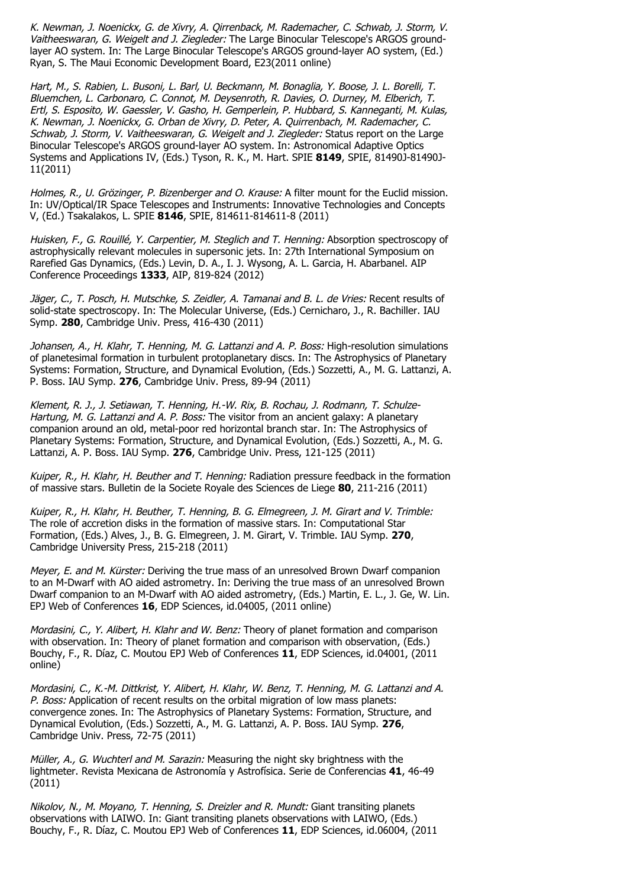K. Newman, J. Noenickx, G. de Xivry, A. Qirrenback, M. Rademacher, C. Schwab, J. Storm, V. Vaitheeswaran, G. Weigelt and J. Ziegleder: The Large Binocular Telescope's ARGOS groundlayer AO system. In: The Large Binocular Telescope's ARGOS ground-layer AO system, (Ed.) Ryan, S. The Maui Economic Development Board, E23(2011 online)

Hart, M., S. Rabien, L. Busoni, L. Barl, U. Beckmann, M. Bonaglia, Y. Boose, J. L. Borelli, T. Bluemchen, L. Carbonaro, C. Connot, M. Deysenroth, R. Davies, O. Durney, M. Elberich, T. Ertl, S. Esposito, W. Gaessler, V. Gasho, H. Gemperlein, P. Hubbard, S. Kanneganti, M. Kulas, K. Newman, J. Noenickx, G. Orban de Xivry, D. Peter, A. Quirrenbach, M. Rademacher, C. Schwab, J. Storm, V. Vaitheeswaran, G. Weigelt and J. Ziegleder: Status report on the Large Binocular Telescope's ARGOS ground-layer AO system. In: Astronomical Adaptive Optics Systems and Applications IV, (Eds.) Tyson, R. K., M. Hart. SPIE **8149**, SPIE, 81490J-81490J-11(2011)

Holmes, R., U. Grözinger, P. Bizenberger and O. Krause: A filter mount for the Euclid mission. In: UV/Optical/IR Space Telescopes and Instruments: Innovative Technologies and Concepts V, (Ed.) Tsakalakos, L. SPIE **8146**, SPIE, 814611-814611-8 (2011)

Huisken, F., G. Rouillé, Y. Carpentier, M. Steglich and T. Henning: Absorption spectroscopy of astrophysically relevant molecules in supersonic jets. In: 27th International Symposium on Rarefied Gas Dynamics, (Eds.) Levin, D. A., I. J. Wysong, A. L. Garcia, H. Abarbanel. AIP Conference Proceedings **1333**, AIP, 819-824 (2012)

Jäger, C., T. Posch, H. Mutschke, S. Zeidler, A. Tamanai and B. L. de Vries: Recent results of solid-state spectroscopy. In: The Molecular Universe, (Eds.) Cernicharo, J., R. Bachiller. IAU Symp. **280**, Cambridge Univ. Press, 416-430 (2011)

Johansen, A., H. Klahr, T. Henning, M. G. Lattanzi and A. P. Boss: High-resolution simulations of planetesimal formation in turbulent protoplanetary discs. In: The Astrophysics of Planetary Systems: Formation, Structure, and Dynamical Evolution, (Eds.) Sozzetti, A., M. G. Lattanzi, A. P. Boss. IAU Symp. **276**, Cambridge Univ. Press, 89-94 (2011)

Klement, R. J., J. Setiawan, T. Henning, H.-W. Rix, B. Rochau, J. Rodmann, T. Schulze-Hartung, M. G. Lattanzi and A. P. Boss: The visitor from an ancient galaxy: A planetary companion around an old, metal-poor red horizontal branch star. In: The Astrophysics of Planetary Systems: Formation, Structure, and Dynamical Evolution, (Eds.) Sozzetti, A., M. G. Lattanzi, A. P. Boss. IAU Symp. **276**, Cambridge Univ. Press, 121-125 (2011)

Kuiper, R., H. Klahr, H. Beuther and T. Henning: Radiation pressure feedback in the formation of massive stars. Bulletin de la Societe Royale des Sciences de Liege **80**, 211-216 (2011)

Kuiper, R., H. Klahr, H. Beuther, T. Henning, B. G. Elmegreen, J. M. Girart and V. Trimble: The role of accretion disks in the formation of massive stars. In: Computational Star Formation, (Eds.) Alves, J., B. G. Elmegreen, J. M. Girart, V. Trimble. IAU Symp. **270**, Cambridge University Press, 215-218 (2011)

Meyer, E. and M. Kürster: Deriving the true mass of an unresolved Brown Dwarf companion to an M-Dwarf with AO aided astrometry. In: Deriving the true mass of an unresolved Brown Dwarf companion to an M-Dwarf with AO aided astrometry, (Eds.) Martin, E. L., J. Ge, W. Lin. EPJ Web of Conferences **16**, EDP Sciences, id.04005, (2011 online)

Mordasini, C., Y. Alibert, H. Klahr and W. Benz: Theory of planet formation and comparison with observation. In: Theory of planet formation and comparison with observation, (Eds.) Bouchy, F., R. Díaz, C. Moutou EPJ Web of Conferences **11**, EDP Sciences, id.04001, (2011 online)

Mordasini, C., K.-M. Dittkrist, Y. Alibert, H. Klahr, W. Benz, T. Henning, M. G. Lattanzi and A. P. Boss: Application of recent results on the orbital migration of low mass planets: convergence zones. In: The Astrophysics of Planetary Systems: Formation, Structure, and Dynamical Evolution, (Eds.) Sozzetti, A., M. G. Lattanzi, A. P. Boss. IAU Symp. **276**, Cambridge Univ. Press, 72-75 (2011)

Müller, A., G. Wuchterl and M. Sarazin: Measuring the night sky brightness with the lightmeter. Revista Mexicana de Astronomía y Astrofísica. Serie de Conferencias **41**, 46-49 (2011)

Nikolov, N., M. Moyano, T. Henning, S. Dreizler and R. Mundt: Giant transiting planets observations with LAIWO. In: Giant transiting planets observations with LAIWO, (Eds.) Bouchy, F., R. Díaz, C. Moutou EPJ Web of Conferences **11**, EDP Sciences, id.06004, (2011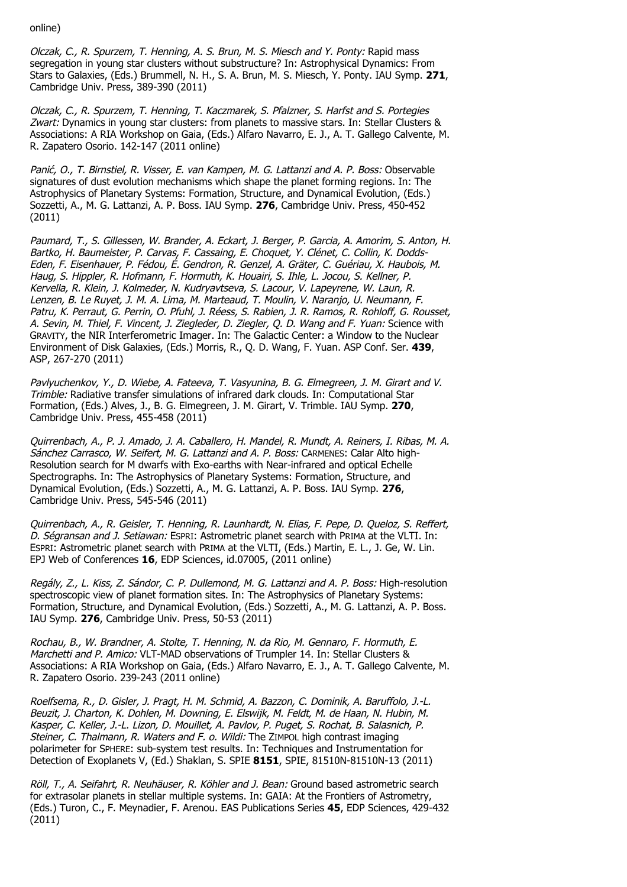online)

Olczak, C., R. Spurzem, T. Henning, A. S. Brun, M. S. Miesch and Y. Ponty: Rapid mass segregation in young star clusters without substructure? In: Astrophysical Dynamics: From Stars to Galaxies, (Eds.) Brummell, N. H., S. A. Brun, M. S. Miesch, Y. Ponty. IAU Symp. **271**, Cambridge Univ. Press, 389-390 (2011)

Olczak, C., R. Spurzem, T. Henning, T. Kaczmarek, S. Pfalzner, S. Harfst and S. Portegies Zwart: Dynamics in young star clusters: from planets to massive stars. In: Stellar Clusters & Associations: A RIA Workshop on Gaia, (Eds.) Alfaro Navarro, E. J., A. T. Gallego Calvente, M. R. Zapatero Osorio. 142-147 (2011 online)

Panić, O., T. Birnstiel, R. Visser, E. van Kampen, M. G. Lattanzi and A. P. Boss: Observable signatures of dust evolution mechanisms which shape the planet forming regions. In: The Astrophysics of Planetary Systems: Formation, Structure, and Dynamical Evolution, (Eds.) Sozzetti, A., M. G. Lattanzi, A. P. Boss. IAU Symp. **276**, Cambridge Univ. Press, 450-452 (2011)

Paumard, T., S. Gillessen, W. Brander, A. Eckart, J. Berger, P. Garcia, A. Amorim, S. Anton, H. Bartko, H. Baumeister, P. Carvas, F. Cassaing, E. Choquet, Y. Clénet, C. Collin, K. Dodds-Eden, F. Eisenhauer, P. Fédou, É. Gendron, R. Genzel, A. Gräter, C. Guériau, X. Haubois, M. Haug, S. Hippler, R. Hofmann, F. Hormuth, K. Houairi, S. Ihle, L. Jocou, S. Kellner, P. Kervella, R. Klein, J. Kolmeder, N. Kudryavtseva, S. Lacour, V. Lapeyrene, W. Laun, R. Lenzen, B. Le Ruyet, J. M. A. Lima, M. Marteaud, T. Moulin, V. Naranjo, U. Neumann, F. Patru, K. Perraut, G. Perrin, O. Pfuhl, J. Réess, S. Rabien, J. R. Ramos, R. Rohloff, G. Rousset, A. Sevin, M. Thiel, F. Vincent, J. Ziegleder, D. Ziegler, Q. D. Wang and F. Yuan: Science with GRAVITY, the NIR Interferometric Imager. In: The Galactic Center: a Window to the Nuclear Environment of Disk Galaxies, (Eds.) Morris, R., Q. D. Wang, F. Yuan. ASP Conf. Ser. **439**, ASP, 267-270 (2011)

Pavlyuchenkov, Y., D. Wiebe, A. Fateeva, T. Vasyunina, B. G. Elmegreen, J. M. Girart and V. Trimble: Radiative transfer simulations of infrared dark clouds. In: Computational Star Formation, (Eds.) Alves, J., B. G. Elmegreen, J. M. Girart, V. Trimble. IAU Symp. **270**, Cambridge Univ. Press, 455-458 (2011)

Quirrenbach, A., P. J. Amado, J. A. Caballero, H. Mandel, R. Mundt, A. Reiners, I. Ribas, M. A. Sánchez Carrasco, W. Seifert, M. G. Lattanzi and A. P. Boss: CARMENES: Calar Alto high-Resolution search for M dwarfs with Exo-earths with Near-infrared and optical Echelle Spectrographs. In: The Astrophysics of Planetary Systems: Formation, Structure, and Dynamical Evolution, (Eds.) Sozzetti, A., M. G. Lattanzi, A. P. Boss. IAU Symp. **276**, Cambridge Univ. Press, 545-546 (2011)

Quirrenbach, A., R. Geisler, T. Henning, R. Launhardt, N. Elias, F. Pepe, D. Queloz, S. Reffert, D. Ségransan and J. Setiawan: ESPRI: Astrometric planet search with PRIMA at the VLTI. In: ESPRI: Astrometric planet search with PRIMA at the VLTI, (Eds.) Martin, E. L., J. Ge, W. Lin. EPJ Web of Conferences **16**, EDP Sciences, id.07005, (2011 online)

Regály, Z., L. Kiss, Z. Sándor, C. P. Dullemond, M. G. Lattanzi and A. P. Boss: High-resolution spectroscopic view of planet formation sites. In: The Astrophysics of Planetary Systems: Formation, Structure, and Dynamical Evolution, (Eds.) Sozzetti, A., M. G. Lattanzi, A. P. Boss. IAU Symp. **276**, Cambridge Univ. Press, 50-53 (2011)

Rochau, B., W. Brandner, A. Stolte, T. Henning, N. da Rio, M. Gennaro, F. Hormuth, E. Marchetti and P. Amico: VLT-MAD observations of Trumpler 14. In: Stellar Clusters & Associations: A RIA Workshop on Gaia, (Eds.) Alfaro Navarro, E. J., A. T. Gallego Calvente, M. R. Zapatero Osorio. 239-243 (2011 online)

Roelfsema, R., D. Gisler, J. Pragt, H. M. Schmid, A. Bazzon, C. Dominik, A. Baruffolo, J.-L. Beuzit, J. Charton, K. Dohlen, M. Downing, E. Elswijk, M. Feldt, M. de Haan, N. Hubin, M. Kasper, C. Keller, J.-L. Lizon, D. Mouillet, A. Pavlov, P. Puget, S. Rochat, B. Salasnich, P. Steiner, C. Thalmann, R. Waters and F. o. Wildi: The ZIMPOL high contrast imaging polarimeter for SPHERE: sub-system test results. In: Techniques and Instrumentation for Detection of Exoplanets V, (Ed.) Shaklan, S. SPIE **8151**, SPIE, 81510N-81510N-13 (2011)

Röll, T., A. Seifahrt, R. Neuhäuser, R. Köhler and J. Bean: Ground based astrometric search for extrasolar planets in stellar multiple systems. In: GAIA: At the Frontiers of Astrometry, (Eds.) Turon, C., F. Meynadier, F. Arenou. EAS Publications Series **45**, EDP Sciences, 429-432 (2011)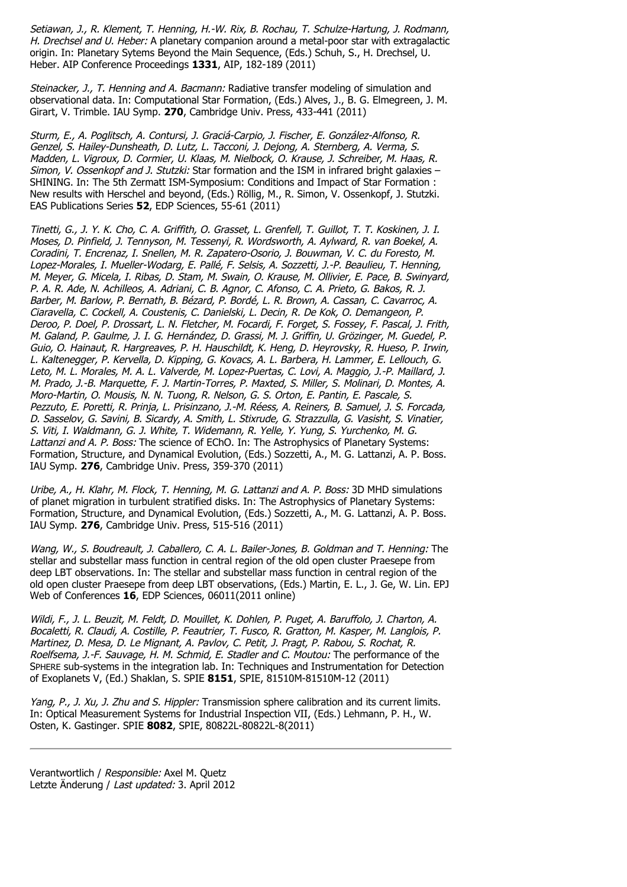Setiawan, J., R. Klement, T. Henning, H.-W. Rix, B. Rochau, T. Schulze-Hartung, J. Rodmann, H. Drechsel and U. Heber: A planetary companion around a metal-poor star with extragalactic origin. In: Planetary Sytems Beyond the Main Sequence, (Eds.) Schuh, S., H. Drechsel, U. Heber. AIP Conference Proceedings **1331**, AIP, 182-189 (2011)

Steinacker, J., T. Henning and A. Bacmann: Radiative transfer modeling of simulation and observational data. In: Computational Star Formation, (Eds.) Alves, J., B. G. Elmegreen, J. M. Girart, V. Trimble. IAU Symp. **270**, Cambridge Univ. Press, 433-441 (2011)

Sturm, E., A. Poglitsch, A. Contursi, J. Graciá-Carpio, J. Fischer, E. González-Alfonso, R. Genzel, S. Hailey-Dunsheath, D. Lutz, L. Tacconi, J. Dejong, A. Sternberg, A. Verma, S. Madden, L. Vigroux, D. Cormier, U. Klaas, M. Nielbock, O. Krause, J. Schreiber, M. Haas, R. Simon, V. Ossenkopf and J. Stutzki: Star formation and the ISM in infrared bright galaxies  $-$ SHINING. In: The 5th Zermatt ISM-Symposium: Conditions and Impact of Star Formation : New results with Herschel and beyond, (Eds.) Röllig, M., R. Simon, V. Ossenkopf, J. Stutzki. EAS Publications Series **52**, EDP Sciences, 55-61 (2011)

Tinetti, G., J. Y. K. Cho, C. A. Griffith, O. Grasset, L. Grenfell, T. Guillot, T. T. Koskinen, J. I. Moses, D. Pinfield, J. Tennyson, M. Tessenyi, R. Wordsworth, A. Aylward, R. van Boekel, A. Coradini, T. Encrenaz, I. Snellen, M. R. Zapatero-Osorio, J. Bouwman, V. C. du Foresto, M. Lopez-Morales, I. Mueller-Wodarg, E. Pallé, F. Selsis, A. Sozzetti, J.-P. Beaulieu, T. Henning, M. Meyer, G. Micela, I. Ribas, D. Stam, M. Swain, O. Krause, M. Ollivier, E. Pace, B. Swinyard, P. A. R. Ade, N. Achilleos, A. Adriani, C. B. Agnor, C. Afonso, C. A. Prieto, G. Bakos, R. J. Barber, M. Barlow, P. Bernath, B. Bézard, P. Bordé, L. R. Brown, A. Cassan, C. Cavarroc, A. Ciaravella, C. Cockell, A. Coustenis, C. Danielski, L. Decin, R. De Kok, O. Demangeon, P. Deroo, P. Doel, P. Drossart, L. N. Fletcher, M. Focardi, F. Forget, S. Fossey, F. Pascal, J. Frith, M. Galand, P. Gaulme, J. I. G. Hernández, D. Grassi, M. J. Griffin, U. Grözinger, M. Guedel, P. Guio, O. Hainaut, R. Hargreaves, P. H. Hauschildt, K. Heng, D. Heyrovsky, R. Hueso, P. Irwin, L. Kaltenegger, P. Kervella, D. Kipping, G. Kovacs, A. L. Barbera, H. Lammer, E. Lellouch, G. Leto, M. L. Morales, M. A. L. Valverde, M. Lopez-Puertas, C. Lovi, A. Maggio, J.-P. Maillard, J. M. Prado, J.-B. Marquette, F. J. Martin-Torres, P. Maxted, S. Miller, S. Molinari, D. Montes, A. Moro-Martin, O. Mousis, N. N. Tuong, R. Nelson, G. S. Orton, E. Pantin, E. Pascale, S. Pezzuto, E. Poretti, R. Prinja, L. Prisinzano, J.-M. Réess, A. Reiners, B. Samuel, J. S. Forcada, D. Sasselov, G. Savini, B. Sicardy, A. Smith, L. Stixrude, G. Strazzulla, G. Vasisht, S. Vinatier, S. Viti, I. Waldmann, G. J. White, T. Widemann, R. Yelle, Y. Yung, S. Yurchenko, M. G. Lattanzi and A. P. Boss: The science of EChO. In: The Astrophysics of Planetary Systems: Formation, Structure, and Dynamical Evolution, (Eds.) Sozzetti, A., M. G. Lattanzi, A. P. Boss. IAU Symp. **276**, Cambridge Univ. Press, 359-370 (2011)

Uribe, A., H. Klahr, M. Flock, T. Henning, M. G. Lattanzi and A. P. Boss: 3D MHD simulations of planet migration in turbulent stratified disks. In: The Astrophysics of Planetary Systems: Formation, Structure, and Dynamical Evolution, (Eds.) Sozzetti, A., M. G. Lattanzi, A. P. Boss. IAU Symp. **276**, Cambridge Univ. Press, 515-516 (2011)

Wang, W., S. Boudreault, J. Caballero, C. A. L. Bailer-Jones, B. Goldman and T. Henning: The stellar and substellar mass function in central region of the old open cluster Praesepe from deep LBT observations. In: The stellar and substellar mass function in central region of the old open cluster Praesepe from deep LBT observations, (Eds.) Martin, E. L., J. Ge, W. Lin. EPJ Web of Conferences **16**, EDP Sciences, 06011(2011 online)

Wildi, F., J. L. Beuzit, M. Feldt, D. Mouillet, K. Dohlen, P. Puget, A. Baruffolo, J. Charton, A. Bocaletti, R. Claudi, A. Costille, P. Feautrier, T. Fusco, R. Gratton, M. Kasper, M. Langlois, P. Martinez, D. Mesa, D. Le Mignant, A. Pavlov, C. Petit, J. Pragt, P. Rabou, S. Rochat, R. Roelfsema, J.-F. Sauvage, H. M. Schmid, E. Stadler and C. Moutou: The performance of the SPHERE sub-systems in the integration lab. In: Techniques and Instrumentation for Detection of Exoplanets V, (Ed.) Shaklan, S. SPIE **8151**, SPIE, 81510M-81510M-12 (2011)

Yang, P., J. Xu, J. Zhu and S. Hippler: Transmission sphere calibration and its current limits. In: Optical Measurement Systems for Industrial Inspection VII, (Eds.) Lehmann, P. H., W. Osten, K. Gastinger. SPIE **8082**, SPIE, 80822L-80822L-8(2011)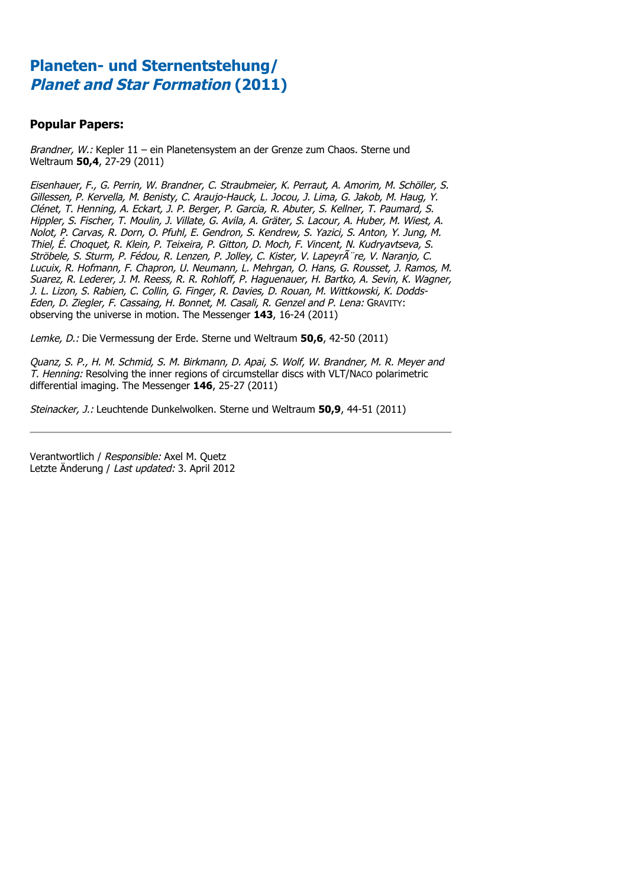### **Popular Papers:**

Brandner, W.: Kepler 11 – ein Planetensystem an der Grenze zum Chaos. Sterne und Weltraum **50,4**, 27-29 (2011)

Eisenhauer, F., G. Perrin, W. Brandner, C. Straubmeier, K. Perraut, A. Amorim, M. Schöller, S. Gillessen, P. Kervella, M. Benisty, C. Araujo-Hauck, L. Jocou, J. Lima, G. Jakob, M. Haug, Y. Clénet, T. Henning, A. Eckart, J. P. Berger, P. Garcia, R. Abuter, S. Kellner, T. Paumard, S. Hippler, S. Fischer, T. Moulin, J. Villate, G. Avila, A. Gräter, S. Lacour, A. Huber, M. Wiest, A. Nolot, P. Carvas, R. Dorn, O. Pfuhl, E. Gendron, S. Kendrew, S. Yazici, S. Anton, Y. Jung, M. Thiel, É. Choquet, R. Klein, P. Teixeira, P. Gitton, D. Moch, F. Vincent, N. Kudryavtseva, S. Ströbele, S. Sturm, P. Fédou, R. Lenzen, P. Jolley, C. Kister, V. Lapeyr re, V. Naranjo, C. Lucuix, R. Hofmann, F. Chapron, U. Neumann, L. Mehrgan, O. Hans, G. Rousset, J. Ramos, M. Suarez, R. Lederer, J. M. Reess, R. R. Rohloff, P. Haguenauer, H. Bartko, A. Sevin, K. Wagner, J. L. Lizon, S. Rabien, C. Collin, G. Finger, R. Davies, D. Rouan, M. Wittkowski, K. Dodds-Eden, D. Ziegler, F. Cassaing, H. Bonnet, M. Casali, R. Genzel and P. Lena: GRAVITY: observing the universe in motion. The Messenger **143**, 16-24 (2011)

Lemke, D.: Die Vermessung der Erde. Sterne und Weltraum **50,6**, 42-50 (2011)

Quanz, S. P., H. M. Schmid, S. M. Birkmann, D. Apai, S. Wolf, W. Brandner, M. R. Meyer and T. Henning: Resolving the inner regions of circumstellar discs with VLT/NACO polarimetric differential imaging. The Messenger **146**, 25-27 (2011)

Steinacker, J.: Leuchtende Dunkelwolken. Sterne und Weltraum **50,9**, 44-51 (2011)